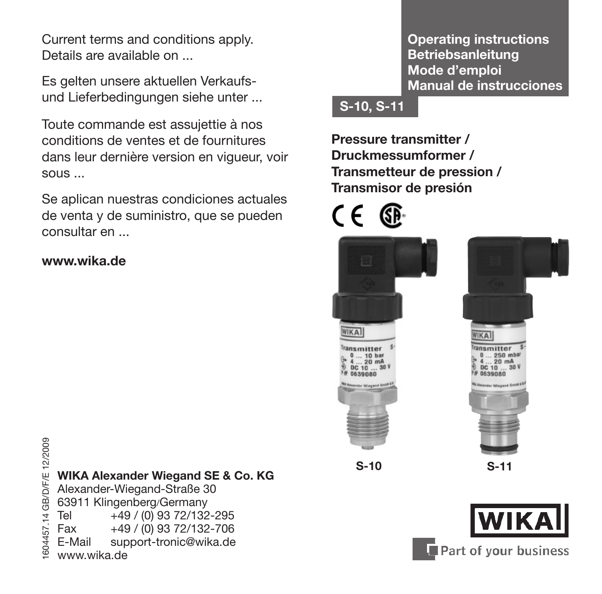Current terms and conditions apply. Details are available on ...

Es gelten unsere aktuellen Verkaufsund Lieferbedingungen siehe unter ...

Toute commande est assujettie à nos conditions de ventes et de fournitures dans leur dernière version en vigueur, voir sous ...

Se aplican nuestras condiciones actuales de venta y de suministro, que se pueden consultar en ...

### **www.wika.de**

<sup>26</sup><br>
<sup>24</sup><br>
<sup>24</sup><br>
<sup>24</sup><br>
<sup>24</sup><br>
<sup>24</sup><br>
<sup>2</sup> Alexander-Wiegand-Straße 30<br>
63911 Klingenberg/Germany<br>
25 Fax +49 / (0) 93 72/132-706<br>
<sup>25</sup><br>
25 Fax +49 / (0) 93 72/132-706<br>
25 E-Mail support-tronic@wika.de<br>
26 www.wika.de Alexander-Wiegand-Straße 30 63911 Klingenberg/Germany Tel +49 / (0) 93 72/132-295  $\begin{array}{r} \text{Fax} = +49 / (0) 93 \ 72/132 - 706 \\ \text{F-Mail} = \text{support-tronic@wika.de} \end{array}$ support-tronic@wika.de www.wika.de

**Operating instructions Betriebsanleitung Mode d'emploi Manual de instrucciones**

### **S-10, S-11**

**Pressure transmitter / Druckmessumformer / Transmetteur de pression / Transmisor de presión** 



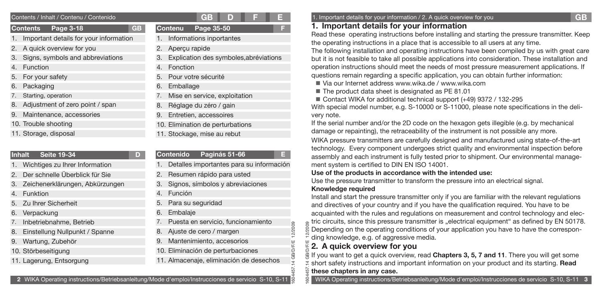|    | Contents / Inhalt / Contenu / Contenido |           |    |                          | GB        |  |
|----|-----------------------------------------|-----------|----|--------------------------|-----------|--|
|    | Page 3-18<br><b>Contents</b>            | <b>GB</b> |    | <b>Contenu</b>           | Page 35-5 |  |
|    | Important details for your information  |           |    | 1. Informations inporta  |           |  |
|    | 2. A quick overview for you             |           |    | 2. Aperçu rapide         |           |  |
| 3. | Signs, symbols and abbreviations        |           |    | 3. Explication des sym   |           |  |
| 4. | Function                                |           | 4. | Fonction                 |           |  |
|    | 5. For your safety                      |           | 5. | Pour votre sécurité      |           |  |
| 6. | Packaging                               |           |    | 6. Emballage             |           |  |
| 7. | Starting, operation                     |           | 7. | Mise en service, exp     |           |  |
| 8. | Adjustment of zero point / span         |           | 8. | Réglage du zéro / g      |           |  |
| 9. | Maintenance, accessories                |           |    | 9. Entretien, accessoir  |           |  |
|    | 10. Trouble shooting                    |           |    | 10. Elimination de pertu |           |  |
|    | 11. Storage, disposal                   |           |    | 11. Stockage, mise au r  |           |  |

- **Inhalt Seite 19-34 D** 1. Wichtiges zu Ihrer Information 2. Der schnelle Überblick für Sie 3. Zeichenerklärungen, Abkürzungen 4. Funktion 5. Zu Ihrer Sicherheit 6. Verpackung 7. Inbetriebnahme, Betrieb 8. Einstellung Nullpunkt / Spanne
- 9. Wartung, Zubehör
- 10. Störbeseitigung
- 11. Lagerung, Entsorgung

|                |                                           | $G$ B | D |  |
|----------------|-------------------------------------------|-------|---|--|
|                | Contenu Page 35-50                        |       |   |  |
|                | 1. Informations inportantes               |       |   |  |
|                | 2. Aperçu rapide                          |       |   |  |
|                | 3. Explication des symboles, abréviations |       |   |  |
|                | 4. Fonction                               |       |   |  |
| $\overline{a}$ | .                                         |       |   |  |

- ploitation
- 8. Réglage du zéro / gain
- 9. Entretien, accessoires
- *Irbations*
- 11. Stockage, mise au rebut

# **Contenido Paginás 51-66 E**

- Detalles importantes para su información
- Resumen rápido para usted
- 3. Signos, símbolos y abreviaciones
- 4. Función
- 5. Para su seguridad
- 6. Embalaje
- 7. Puesta en servicio, funcionamiento
- 8. Ajuste de cero / margen
- 9. Mantenimiento, accesorios
- 10. Eliminación de perturbaciones
- 11. Almacenaje, eliminación de desechos

## **E** 1. Important details for your information / 2. A quick overview for you

# **1. Important details for your information**

Read these operating instructions before installing and starting the pressure transmitter. Keep the operating instructions in a place that is accessible to all users at any time.

The following installation and operating instructions have been compiled by us with great care but it is not feasible to take all possible applications into consideration. These installation and operation instructions should meet the needs of most pressure measurement applications. If questions remain regarding a specific application, you can obtain further information:

- Via our Internet address www.wika.de / www.wika.com
- The product data sheet is designated as PE 81.01
- Contact WIKA for additional technical support (+49) 9372 / 132-295

With special model number, e.g. S-10000 or S-11000, please note specifications in the delivery note.

If the serial number and/or the 2D code on the hexagon gets illegible (e.g. by mechanical damage or repainting), the retraceability of the instrument is not possible any more.

WIKA pressure transmitters are carefully designed and manufactured using state-of-the-art technology. Every component undergoes strict quality and environmental inspection before assembly and each instrument is fully tested prior to shipment. Our environmental management system is certified to DIN EN ISO 14001.

### **Use of the products in accordance with the intended use:**

Use the pressure transmitter to transform the pressure into an electrical signal.

### **Knowledge required**

1604457.14 GB/D/F/E 12/2009

14 GB/D/F/E

57

12/2009

Install and start the pressure transmitter only if you are familiar with the relevant regulations and directives of your country and if you have the qualification required. You have to be acquainted with the rules and regulations on measurement and control technology and electric circuits, since this pressure transmitter is "electrical equipment" as defined by EN 50178. Depending on the operating conditions of your application you have to have the corresponding knowledge, e.g. of aggressive media.

# **2. A quick overview for you**

1604457.14 GB/D/F/E 12/2009 If you want to get a quick overview, read **Chapters 3, 5, 7 and 11**. There you will get some short safety instructions and important information on your product and its starting. **Read these chapters in any case.**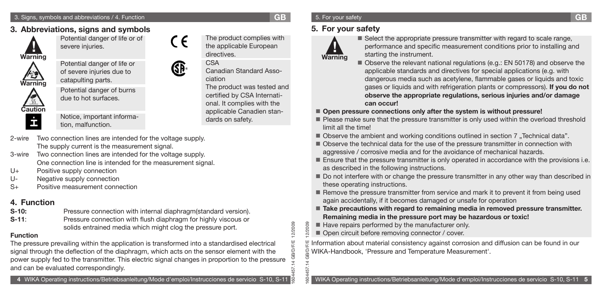# **3. Abbreviations, signs and symbols**



Potential danger of life or of severe injuries.



Potential danger of life or of severe injuries due to catapulting parts.



Potential danger of burns due to hot surfaces.

Notice, important information, malfunction.

2-wire Two connection lines are intended for the voltage supply. The supply current is the measurement signal.

- 3-wire Two connection lines are intended for the voltage supply. One connection line is intended for the measurement signal.
- U+ Positive supply connection
- U- Negative supply connection
- S+ Positive measurement connection

# **4. Function**

- **S-10:** Pressure connection with internal diaphragm(standard version). **S-11:** Pressure connection with flush diaphragm for highly viscous or
	- solids entrained media which might clog the pressure port.

## **Function**

The pressure prevailing within the application is transformed into a standardised electrical signal through the deflection of the diaphragm, which acts on the sensor element with the power supply fed to the transmitter. This electric signal changes in proportion to the pressure and can be evaluated correspondingly.



The product complies with the applicable European

Canadian Standard Asso-

The product was tested and certified by CSA International. It complies with the applicable Canadien stan-

directives. CSA

 $\epsilon$ 

ciation

dards on safety.

1604457.14 GB/D/F/E 12/2009

**LGB/D/F/E** 

1604457.14 GB/D/F/E 12/2009

 $504$ 

2/2009 12/2009

# 5. For your safety

# **5. For your safety**



■ Select the appropriate pressure transmitter with regard to scale range, performance and specific measurement conditions prior to installing and starting the instrument.

Observe the relevant national regulations (e.g.: EN 50178) and observe the applicable standards and directives for special applications (e.g. with dangerous media such as acetylene, flammable gases or liquids and toxic gases or liquids and with refrigeration plants or compressors). **If you do not observe the appropriate regulations, serious injuries and/or damage can occur!**

■ Open pressure connections only after the system is without pressure!

- Please make sure that the pressure transmitter is only used within the overload threshold limit all the time!
- Observe the ambient and working conditions outlined in section 7 "Technical data".
- Observe the technical data for the use of the pressure transmitter in connection with aggressive / corrosive media and for the avoidance of mechanical hazards.
- **Ensure that the pressure transmitter is only operated in accordance with the provisions i.e.** as described in the following instructions.
- Do not interfere with or change the pressure transmitter in any other way than described in these operating instructions.
- Remove the pressure transmitter from service and mark it to prevent it from being used again accidentally, if it becomes damaged or unsafe for operation
- **Take precautions with regard to remaining media in removed pressure transmitter. Remaining media in the pressure port may be hazardous or toxic!**
- Have repairs performed by the manufacturer only.
- Open circuit before removing connector / cover.

Information about material consistency against corrosion and diffusion can be found in our WIKA-Handbook, 'Pressure and Temperature Measurement'. é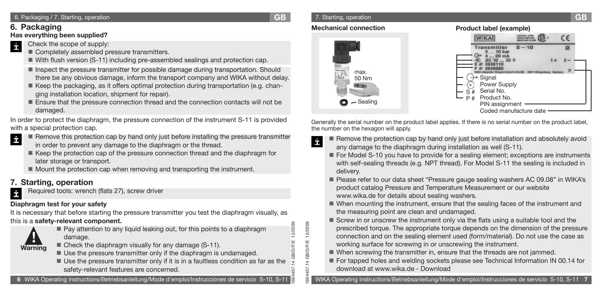### 6. Packaging / 7. Starting, operation **GB**

1604457.14 GB/D/F/E 12/2009

1604457.14 GB/D/F/E 12/2009

4 GB/D/F/E

57 5d

12/2009 2/2009

# **6. Packaging**

## **Has everything been supplied?**

- Check the scope of supply: İ
	- **Completely assembled pressure transmitters.**
	- With flush version (S-11) including pre-assembled sealings and protection cap.
	- **Inspect the pressure transmitter for possible damage during transportation. Should** there be any obvious damage, inform the transport company and WIKA without delay.
	- Keep the packaging, as it offers optimal protection during transportation (e.g. changing installation location, shipment for repair).
	- Ensure that the pressure connection thread and the connection contacts will not be damaged.

In order to protect the diaphragm, the pressure connection of the instrument S-11 is provided with a special protection cap.

- İ Remove this protection cap by hand only just before installing the pressure transmitter in order to prevent any damage to the diaphragm or the thread.
	- Keep the protection cap of the pressure connection thread and the diaphragm for later storage or transport.
	- Mount the protection cap when removing and transporting the instrument.

# **7. Starting, operation**

Required tools: wrench (flats 27), screw driver İ

# **Diaphragm test for your safety**

It is necessary that before starting the pressure transmitter you test the diaphragm visually, as this is a **safety-relevant component.**

# **! Warning**

- damage. ■ Check the diaphragm visually for any damage (S-11).
- Use the pressure transmitter only if the diaphragm is undamaged.

■ Pay attention to any liquid leaking out, for this points to a diaphragm

Use the pressure transmitter only if it is in a faultless condition as far as the safety-relevant features are concerned.

WIKA Operating instructions/Betriebsanleitung/Mode d'emploi/Instrucciones de servicio S-10, S-11

### 7. Starting, operation **GB**

### **Mechanical connection Product label (example)**



Generally the serial number on the product label applies. If there is no serial number on the product label, the number on the hexagon will apply.

- İ Remove the protection cap by hand only just before installation and absolutely avoid any damage to the diaphragm during installation as well (S-11).
	- For Model S-10 you have to provide for a sealing element; exceptions are instruments with self-sealing threads (e.g. NPT thread). For Model S-11 the sealing is included in delivery.
	- Please refer to our data sheet "Pressure gauge sealing washers AC 09.08" in WIKA's product catalog Pressure and Temperature Measurement or our website www.wika.de for details about sealing washers.
	- When mounting the instrument, ensure that the sealing faces of the instrument and the measuring point are clean and undamaged.
	- Screw in or unscrew the instrument only via the flats using a suitable tool and the prescribed torque. The appropriate torque depends on the dimension of the pressure connection and on the sealing element used (form/material). Do not use the case as working surface for screwing in or unscrewing the instrument.
	- When screwing the transmitter in, ensure that the threads are not jammed.
	- For tapped holes and welding sockets please see Technical Information IN 00.14 for download at www.wika.de - Download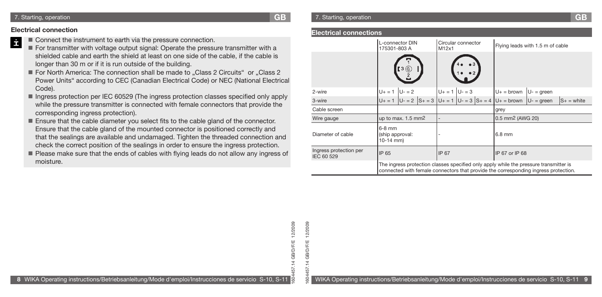### **Electrical connection**

- İ ■ Connect the instrument to earth via the pressure connection.
	- For transmitter with voltage output signal: Operate the pressure transmitter with a shielded cable and earth the shield at least on one side of the cable, if the cable is longer than 30 m or if it is run outside of the building.
	- For North America: The connection shall be made to "Class 2 Circuits" or "Class 2 Power Units" according to CEC (Canadian Electrical Code) or NEC (National Electrical Code).
	- Ingress protection per IEC 60529 (The ingress protection classes specified only apply while the pressure transmitter is connected with female connectors that provide the corresponding ingress protection).
	- Ensure that the cable diameter you select fits to the cable gland of the connector. Ensure that the cable gland of the mounted connector is positioned correctly and that the sealings are available and undamaged. Tighten the threaded connection and check the correct position of the sealings in order to ensure the ingress protection.
	- Please make sure that the ends of cables with flying leads do not allow any ingress of moisture.

1604457.14 GB/D/F/E 12/2009

 $14$  GB/D/F/E **GB/D/F/E** 

57

12/2009 12/2009

1604457.14 GB/D/F/E 12/2009

5d

#### **Electrical connections**

|                                                               | L-connector DIN<br>175301-803 A                                                                                                                                              | M12x1           | Circular connector  |  | Flying leads with 1.5 m of cable |                                                |               |               |  |  |
|---------------------------------------------------------------|------------------------------------------------------------------------------------------------------------------------------------------------------------------------------|-----------------|---------------------|--|----------------------------------|------------------------------------------------|---------------|---------------|--|--|
|                                                               | 3(6)                                                                                                                                                                         |                 |                     |  |                                  |                                                |               |               |  |  |
| 2-wire                                                        | $U - 2$<br>$U + = 1$                                                                                                                                                         |                 | $U_+ = 1$ $U_- = 3$ |  |                                  | $U_+$ = brown                                  | $U -$ = green |               |  |  |
| 3-wire                                                        | $U + = 1$                                                                                                                                                                    | $ U - 2 S + 3 $ |                     |  |                                  | $U_+ = 1$ $ U_- = 3$ $ S_+ = 4$ $ U_+ =$ brown | $U -$ = green | $S_+$ = white |  |  |
| Cable screen                                                  |                                                                                                                                                                              |                 |                     |  |                                  | grey                                           |               |               |  |  |
| Wire gauge                                                    | up to max. $1.5$ mm <sup>2</sup>                                                                                                                                             |                 |                     |  |                                  | 0.5 mm <sup>2</sup> (AWG 20)                   |               |               |  |  |
| 6-8 mm<br>Diameter of cable<br>(ship approval:<br>$10-14$ mm) |                                                                                                                                                                              |                 |                     |  |                                  | 6.8 mm                                         |               |               |  |  |
| Ingress protection per<br>IP 65<br>IEC 60 529                 |                                                                                                                                                                              |                 | IP 67               |  |                                  | IP 67 or IP 68                                 |               |               |  |  |
|                                                               | The ingress protection classes specified only apply while the pressure transmitter is<br>connected with female connectors that provide the corresponding ingress protection. |                 |                     |  |                                  |                                                |               |               |  |  |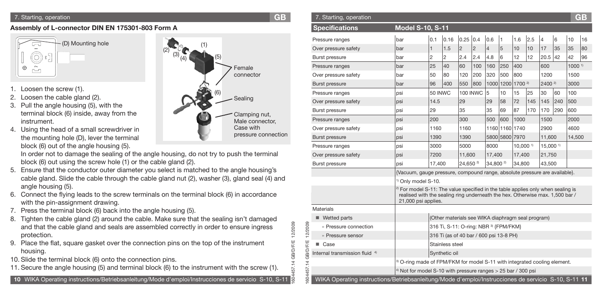### **Assembly of L-connector DIN EN 175301-803 Form A**



- 1. Loosen the screw (1).
- 2. Loosen the cable gland (2).
- 3. Pull the angle housing (5), with the terminal block (6) inside, away from the instrument.
- 4. Using the head of a small screwdriver in the mounting hole (D), lever the terminal block (6) out of the angle housing (5).

- 5. Ensure that the conductor outer diameter you select is matched to the angle housing's cable gland. Slide the cable through the cable gland nut (2), washer (3), gland seal (4) and angle housing (5).
- 6. Connect the flying leads to the screw terminals on the terminal block (6) in accordance with the pin-assignment drawing.
- 7. Press the terminal block (6) back into the angle housing (5).
- 8. Tighten the cable gland (2) around the cable. Make sure that the sealing isn't damaged and that the cable gland and seals are assembled correctly in order to ensure ingress protection.
- 9. Place the flat, square gasket over the connection pins on the top of the instrument housing.
- 10. Slide the terminal block (6) onto the connection pins.
- 11. Secure the angle housing (5) and terminal block (6) to the instrument with the screw (1).



| 7. Starting, operation                                                                                        | <b>GB</b>           | 7. Starting, operation                                                                              |                                                                                                                                                                              |         |                                                   |                      |            |                      |     |                |     |                    |      | <b>GB</b>         |
|---------------------------------------------------------------------------------------------------------------|---------------------|-----------------------------------------------------------------------------------------------------|------------------------------------------------------------------------------------------------------------------------------------------------------------------------------|---------|---------------------------------------------------|----------------------|------------|----------------------|-----|----------------|-----|--------------------|------|-------------------|
| ssembly of L-connector DIN EN 175301-803 Form A                                                               |                     | <b>Specifications</b>                                                                               | <b>Model S-10, S-11</b>                                                                                                                                                      |         |                                                   |                      |            |                      |     |                |     |                    |      |                   |
| (D) Mounting hole                                                                                             |                     | Pressure ranges                                                                                     | bar                                                                                                                                                                          | 0.1     | 0.16                                              | 0.25 0.4             |            | 0.6                  | 1   | 1.6            | 2.5 | 6                  | 10   | 16                |
|                                                                                                               |                     | Over pressure safety                                                                                | bar                                                                                                                                                                          |         | 1.5                                               |                      | 2          |                      | 5   | 10             | 10  | 17<br>35           | 35   | 80                |
| O                                                                                                             |                     | <b>Burst pressure</b>                                                                               | bar                                                                                                                                                                          | 2       | 12                                                | 2.4                  | 2.4        | 4.8                  | 6   | 12             | 12  | 20.5 42            | 42   | 96                |
| ⊕<br>$\Box$                                                                                                   | Female              | Pressure ranges                                                                                     | bar                                                                                                                                                                          | 25      | 40                                                | 60                   | 100        | $ 160\rangle$        | 250 | 400            |     | 600                |      | 1000 <sup>1</sup> |
|                                                                                                               | connector           | Over pressure safety                                                                                | bar                                                                                                                                                                          | 50      | 80                                                | 120                  | 200        | 320                  | 500 | 800            |     | 1200               | 1500 |                   |
|                                                                                                               |                     | <b>Burst pressure</b>                                                                               | bar                                                                                                                                                                          | 96      | 400                                               | 550                  | 800        |                      |     | 1000 1200 1700 |     | 2400 <sup>2)</sup> | 3000 |                   |
| Loosen the screw (1).<br>Loosen the cable gland (2).                                                          |                     | Pressure ranges                                                                                     | psi                                                                                                                                                                          | 50 INWC |                                                   |                      | 100 INWC 5 |                      | 10  | 15             | 25  | 30<br>60           | 100  |                   |
| Pull the angle housing (5), with the                                                                          | Sealing             | Over pressure safety                                                                                | psi                                                                                                                                                                          | 14.5    |                                                   | 29                   |            | 29                   | 58  | 72             | 145 | 145 240 500        |      |                   |
| terminal block (6) inside, away from the                                                                      | Clamping nut,       | Burst pressure                                                                                      | psi                                                                                                                                                                          | 29      |                                                   | 35                   |            | 35                   | 69  | 87             | 170 | 170 290            | 600  |                   |
| instrument.                                                                                                   | Male connector,     | Pressure ranges                                                                                     | psi                                                                                                                                                                          | 200     |                                                   | 300                  |            | 500                  | 600 | 1000           |     | 1500               | 2000 |                   |
| Using the head of a small screwdriver in                                                                      | Case with           | Over pressure safety                                                                                | psi                                                                                                                                                                          | 1160    |                                                   | 1160                 |            |                      |     | 1160 1160 1740 |     | 2900               | 4600 |                   |
| the mounting hole (D), lever the terminal                                                                     | pressure connection | <b>Burst pressure</b>                                                                               | psi                                                                                                                                                                          | 1390    |                                                   | 1390                 |            |                      |     | 5800 5800 7970 |     | 11,600             |      | 14,500            |
| block (6) out of the angle housing (5).                                                                       |                     | Pressure ranges                                                                                     | psi                                                                                                                                                                          | 3000    |                                                   | 5000                 |            | 8000                 |     | 10,000 1       |     | 15,000 1)          |      |                   |
| In order not to damage the sealing of the angle housing, do not try to push the terminal                      |                     | Over pressure safety                                                                                | psi                                                                                                                                                                          | 7200    |                                                   | 11,600               |            | 17,400               |     | 17,400         |     | 21,750             |      |                   |
| block (6) out using the screw hole (1) or the cable gland (2).                                                |                     | <b>Burst pressure</b>                                                                               | psi                                                                                                                                                                          | 17,400  |                                                   | 24,650 <sup>2)</sup> |            | $ 34,800^{2}\rangle$ |     | 34,800         |     | 43,500             |      |                   |
| Ensure that the conductor outer diameter you select is matched to the angle housing's                         |                     |                                                                                                     | {Vacuum, gauge pressure, compound range, absolute pressure are available}.                                                                                                   |         |                                                   |                      |            |                      |     |                |     |                    |      |                   |
| cable gland. Slide the cable through the cable gland nut (2), washer (3), gland seal (4) and                  |                     |                                                                                                     | <sup>1)</sup> Only model S-10.                                                                                                                                               |         |                                                   |                      |            |                      |     |                |     |                    |      |                   |
| angle housing (5).<br>Connect the flying leads to the screw terminals on the terminal block (6) in accordance |                     |                                                                                                     | <sup>2)</sup> For model S-11: The value specified in the table applies only when sealing is<br>realised with the sealing ring underneath the hex. Otherwise max. 1,500 bar / |         |                                                   |                      |            |                      |     |                |     |                    |      |                   |
| with the pin-assignment drawing.                                                                              |                     |                                                                                                     | 21,000 psi applies.                                                                                                                                                          |         |                                                   |                      |            |                      |     |                |     |                    |      |                   |
| Press the terminal block (6) back into the angle housing (5).                                                 |                     | Materials                                                                                           |                                                                                                                                                                              |         |                                                   |                      |            |                      |     |                |     |                    |      |                   |
| Tighten the cable gland (2) around the cable. Make sure that the sealing isn't damaged                        |                     | $\blacksquare$ Wetted parts                                                                         |                                                                                                                                                                              |         | (Other materials see WIKA diaphragm seal program) |                      |            |                      |     |                |     |                    |      |                   |
| and that the cable gland and seals are assembled correctly in order to ensure ingress                         | 12/2009             | 2/2009<br>» Pressure connection                                                                     |                                                                                                                                                                              |         | 316 Ti, S-11: O-ring: NBR 3) {FPM/FKM}            |                      |            |                      |     |                |     |                    |      |                   |
| protection.                                                                                                   |                     | » Pressure sensor                                                                                   |                                                                                                                                                                              |         | 316 Ti (as of 40 bar / 600 psi 13-8 PH)           |                      |            |                      |     |                |     |                    |      |                   |
| Place the flat, square gasket over the connection pins on the top of the instrument                           | <b>GB/D/F/E</b>     | D/F/E<br>Case<br>ш                                                                                  |                                                                                                                                                                              |         | Stainless steel                                   |                      |            |                      |     |                |     |                    |      |                   |
| housing.                                                                                                      |                     | Internal transmission fluid 4)                                                                      |                                                                                                                                                                              |         | Synthetic oil                                     |                      |            |                      |     |                |     |                    |      |                   |
| 0. Slide the terminal block (6) onto the connection pins.                                                     |                     |                                                                                                     | <sup>3)</sup> O-ring made of FPM/FKM for model S-11 with integrated cooling element.                                                                                         |         |                                                   |                      |            |                      |     |                |     |                    |      |                   |
| 1. Secure the angle housing (5) and terminal block (6) to the instrument with the screw (1).                  |                     |                                                                                                     | $4)$ Not for model S-10 with pressure ranges $>$ 25 bar / 300 psi                                                                                                            |         |                                                   |                      |            |                      |     |                |     |                    |      |                   |
| 10 WIKA Operating instructions/Betriebsanleitung/Mode d'emploi/Instrucciones de servicio S-10, S-11           | 8                   | WIKA Operating instructions/Betriebsanleitung/Mode d'emploi/Instrucciones de servicio S-10, S-11 11 |                                                                                                                                                                              |         |                                                   |                      |            |                      |     |                |     |                    |      |                   |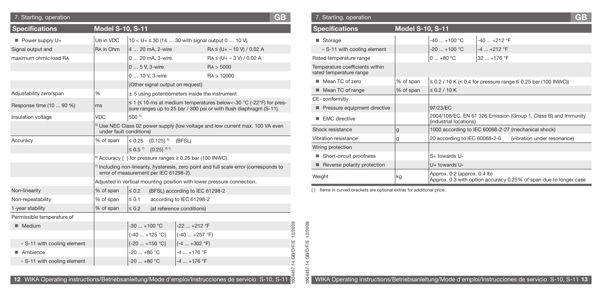| 7. Starting, operation         |                         |                                          |                                                                                                     | <b>GB</b> |                     | 7. Starting, operation                                                                              |                         |                                               |               |                                                                    | GB |
|--------------------------------|-------------------------|------------------------------------------|-----------------------------------------------------------------------------------------------------|-----------|---------------------|-----------------------------------------------------------------------------------------------------|-------------------------|-----------------------------------------------|---------------|--------------------------------------------------------------------|----|
| <b>Specifications</b>          | <b>Model S-10, S-11</b> |                                          |                                                                                                     |           |                     | <b>Specifications</b>                                                                               | <b>Model S-10, S-11</b> |                                               |               |                                                                    |    |
| $\blacksquare$ Power supply U+ | UB in VDC               |                                          | $10 < U + \le 30$ (14  30 with signal output 0  10 V)                                               |           |                     | ■ Storage                                                                                           |                         | $-40+100$ °C                                  | $-40+212$ °F  |                                                                    |    |
| Signal output and              | RA in Ohm               | 4  20 mA, 2-wire                         | $RA \leq (U + -10 V) / 0.02 A$                                                                      |           |                     | » S-11 with cooling element                                                                         |                         | $-20$ +100 °C                                 | $-4  +212$ °F |                                                                    |    |
| maximum ohmic load RA          |                         | 0  20 mA, 3-wire                         | $RA \leq (U + -3 V) / 0.02 A$                                                                       |           |                     | Rated temperature range                                                                             |                         | $ 0+80 °C$                                    | $32+176$ °F   |                                                                    |    |
|                                |                         | 0  5 V, 3-wire                           | RA > 5000                                                                                           |           |                     | Temperature coefficients within                                                                     |                         |                                               |               |                                                                    |    |
|                                |                         | 0  10 V. 3-wire                          | RA > 10000                                                                                          |           |                     | rated temperature range                                                                             |                         |                                               |               |                                                                    |    |
|                                |                         | {Other signal output on request}         |                                                                                                     |           |                     | ■ Mean TC of zero                                                                                   | % of span               |                                               |               | $\leq$ 0.2 / 10 K (< 0.4 for pressure range ≤ 0.25 bar (100 INWC)) |    |
| Adjustability zero/span        | $\%$                    |                                          | $±$ 5 using potentiometers inside the instrument                                                    |           |                     | ■ Mean TC of range                                                                                  | % of span               | $\leq$ 0.2 / 10 K                             |               |                                                                    |    |
| Response time (10  90 %)       | ms                      |                                          | $\leq$ 1 ( $\leq$ 10 ms at medium temperatures below <- 30 °C (-22°F) for pres-                     |           |                     | CE-conformitiv                                                                                      |                         |                                               |               |                                                                    |    |
|                                |                         |                                          | sure ranges up to 25 bar / 300 psi or with flush diaphragm (S-11).                                  |           |                     | Pressure equipment directive                                                                        |                         | 97/23/EC                                      |               |                                                                    |    |
| Insulation voltage             | <b>VDC</b>              | 500 5)                                   |                                                                                                     |           |                     | $\blacksquare$ EMC directive                                                                        |                         | (industrial locations)                        |               | 2004/108/EC, EN 61 326 Emission (Group 1, Class B) and Immunity    |    |
|                                | under fault conditions) |                                          | <sup>5)</sup> Use NEC Class 02 power supply (low voltage and low current max. 100 VA even           |           |                     | Shock resistance                                                                                    | ۱g                      |                                               |               | 1000 according to IEC 60068-2-27 (mechanical shock)                |    |
| Accuracy                       | % of span               | $\leq 0.25$ {0.125} <sup>6}</sup> (BFSL) |                                                                                                     |           |                     | Vibration resistance                                                                                | q                       | 20 according to IEC 60068-2-6                 |               | (vibration under resonance)                                        |    |
|                                |                         | $\leq 0.5^{7}$ {0.25} <sup>6) 7</sup>    |                                                                                                     |           |                     | Wiring protection                                                                                   |                         |                                               |               |                                                                    |    |
|                                |                         |                                          | $\beta$ Accuracy { } for pressure ranges $\geq 0.25$ bar (100 INWC).                                |           |                     | ■ Short-circuit proofness                                                                           |                         | S+ towards U-                                 |               |                                                                    |    |
|                                |                         | error of measurement per IEC 61298-2).   | <sup>1</sup> Including non-linearity, hysteresis, zero point and full scale error (corresponds to   |           |                     | Reverse polarity protection                                                                         |                         | U+ towards U-<br>Approx. 0.2 (approx. 0.4 lb) |               |                                                                    |    |
|                                |                         |                                          | Adjusted in vertical mounting position with lower pressure connection.                              |           |                     | Weight                                                                                              | kg                      |                                               |               | Approx. 0.3 with option accuracy 0.25% of span due to longer case  |    |
| Non-linearity                  | % of span               | $\leq 0.2$                               | (BFSL) according to IEC 61298-2                                                                     |           |                     | {} Items in curved brackets are optional extras for additional price.                               |                         |                                               |               |                                                                    |    |
| Non-repeatability              | % of span               | $\leq 0.1$                               | according to IEC 61298-2                                                                            |           |                     |                                                                                                     |                         |                                               |               |                                                                    |    |
| 1-year stability               | % of span               | $\leq 0.2$                               | (at reference conditions)                                                                           |           |                     |                                                                                                     |                         |                                               |               |                                                                    |    |
| Permissible temperature of     |                         |                                          |                                                                                                     |           |                     |                                                                                                     |                         |                                               |               |                                                                    |    |
| Medium                         |                         | $-30+100$ °C                             | -22  +212 °F                                                                                        |           |                     |                                                                                                     |                         |                                               |               |                                                                    |    |
|                                |                         | $\{-40+125 °C\}$                         | $\{-40+257$ °F}                                                                                     |           | 12/2009             | 12/2009                                                                                             |                         |                                               |               |                                                                    |    |
| » S-11 with cooling element    |                         | $\{-20+150 °C\}$                         | $\left  \{-4  +302 \degree F\} \right $                                                             |           |                     | Щ                                                                                                   |                         |                                               |               |                                                                    |    |
| ■ Ambience                     |                         | $-20$ $+80$ °C                           | $-4$ $+176$ °F                                                                                      |           | <b>B/D/F/E</b>      | GB/D/F,                                                                                             |                         |                                               |               |                                                                    |    |
| » S-11 with cooling element    |                         | $-20$ $+80$ °C                           | $-4+176$ °F                                                                                         |           | $\overline{c}$<br>4 | 4                                                                                                   |                         |                                               |               |                                                                    |    |
|                                |                         |                                          |                                                                                                     |           |                     |                                                                                                     |                         |                                               |               |                                                                    |    |
|                                |                         |                                          | 12 WIKA Operating instructions/Betriebsanleitung/Mode d'emploi/Instrucciones de servicio S-10, S-11 |           |                     | WIKA Operating instructions/Betriebsanleitung/Mode d'emploi/Instrucciones de servicio S-10, S-11 13 |                         |                                               |               |                                                                    |    |

| 7. Starting, operation                                     |                         |                               |                                                                   | GB |
|------------------------------------------------------------|-------------------------|-------------------------------|-------------------------------------------------------------------|----|
| <b>Specifications</b>                                      | <b>Model S-10, S-11</b> |                               |                                                                   |    |
| Storage                                                    |                         | $-40+100$ °C                  | $-40$ $+212$ °F                                                   |    |
| » S-11 with cooling element                                |                         | $-20$ $+100$ °C               | $-4$ $+212$ °F                                                    |    |
| Rated temperature range                                    |                         | $0+80 °C$                     | $32+176$ °F                                                       |    |
| Temperature coefficients within<br>rated temperature range |                         |                               |                                                                   |    |
| Mean TC of zero                                            | % of span               |                               | ≤ 0.2 / 10 K (< 0.4 for pressure range ≤ 0.25 bar (100 INWC))     |    |
| Mean TC of range                                           | % of span               | $\leq$ 0.2 / 10 K             |                                                                   |    |
| CE-conformitiy                                             |                         |                               |                                                                   |    |
| Pressure equipment directive                               |                         | 97/23/EC                      |                                                                   |    |
| <b>EMC</b> directive                                       |                         | (industrial locations)        | 2004/108/EC, EN 61 326 Emission (Group 1, Class B) and Immunity   |    |
| Shock resistance                                           | g                       |                               | 1000 according to IEC 60068-2-27 (mechanical shock)               |    |
| Vibration resistance                                       | g                       | 20 according to IEC 60068-2-6 | (vibration under resonance)                                       |    |
| Wiring protection                                          |                         |                               |                                                                   |    |
| Short-circuit proofness                                    |                         | S+ towards U-                 |                                                                   |    |
| Reverse polarity protection                                |                         | U+ towards U-                 |                                                                   |    |
| Weight                                                     | kg                      | Approx. 0.2 (approx. 0.4 lb)  | Approx. 0.3 with option accuracy 0.25% of span due to longer case |    |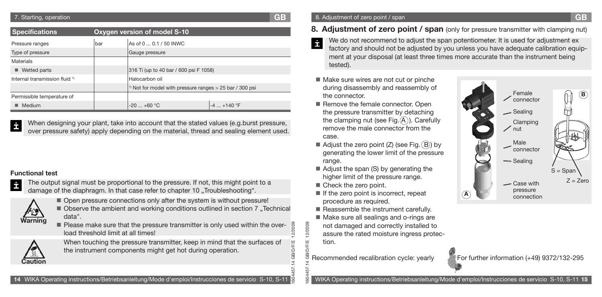### 7. Starting, operation **GB**

| <b>Specifications</b>                            | Oxygen version of model S-10 |                                                                       |                |  |  |  |  |  |
|--------------------------------------------------|------------------------------|-----------------------------------------------------------------------|----------------|--|--|--|--|--|
| As of 0  0.1 / 50 INWC<br>bar<br>Pressure ranges |                              |                                                                       |                |  |  |  |  |  |
| Type of pressure                                 |                              | Gauge pressure                                                        |                |  |  |  |  |  |
| Materials                                        |                              |                                                                       |                |  |  |  |  |  |
| $\blacksquare$ Wetted parts                      |                              | 316 Ti (up to 40 bar / 600 psi F 1058)                                |                |  |  |  |  |  |
| Internal transmission fluid <sup>1)</sup>        |                              | Halocarbon oil                                                        |                |  |  |  |  |  |
|                                                  |                              | <sup>1)</sup> Not for model with pressure ranges $>$ 25 bar / 300 psi |                |  |  |  |  |  |
| Permissible temperature of                       |                              |                                                                       |                |  |  |  |  |  |
| Medium                                           |                              | $-20$ $+60$ °C                                                        | $-4$ $+140$ °F |  |  |  |  |  |

When designing your plant, take into account that the stated values (e.g.burst pressure, İ over pressure safety) apply depending on the material, thread and sealing element used.

### **Functional test**

- İ
- The output signal must be proportional to the pressure. If not, this might point to a damage of the diaphragm. In that case refer to chapter 10 . Troubleshooting".



- Open pressure connections only after the system is without pressure!  $\blacksquare$  Observe the ambient and working conditions outlined in section 7 "Technical data".
	- 1604457.14 GB/D/F/E 12/2009 **Please make sure that the pressure transmitter is only used within the over-**2009 load threshold limit at all times! ৯



When touching the pressure transmitter, keep in mind that the surfaces of the instrument components might get hot during operation.

- **8. Adjustment of zero point / span** (only for pressure transmitter with clamping nut)
- We do not recommend to adjust the span potentiometer. It is used for adjustment ex İ factory and should not be adjusted by you unless you have adequate calibration equipment at your disposal (at least three times more accurate than the instrument being tested).
- Make sure wires are not cut or pinche during disassembly and reassembly of the connector.
- Remove the female connector. Open the pressure transmitter by detaching the clamping nut (see Fig.  $(A)$ ). Carefully remove the male connector from the case.
- Adjust the zero point (Z) (see Fig.  $(B)$ ) by generating the lower limit of the pressure range.
- Adjust the span (S) by generating the higher limit of the pressure range.
- Check the zero point.

1604457.14 GB/D/F/E 12/2009

 $\rightarrow$ 

**ID/F/E** 

12/2009

- $\blacksquare$  If the zero point is incorrect, repeat procedure as required.
- Reassemble the instrument carefully.
- Make sure all sealings and o-rings are not damaged and correctly installed to assure the rated moisture ingress protection.
- Recommended recalibration cycle: yearly For further information (+49) 9372/132-295



WIKA Operating instructions/Betriebsanleitung/Mode d'emploi/Instrucciones de servicio S-10, S-11 **15**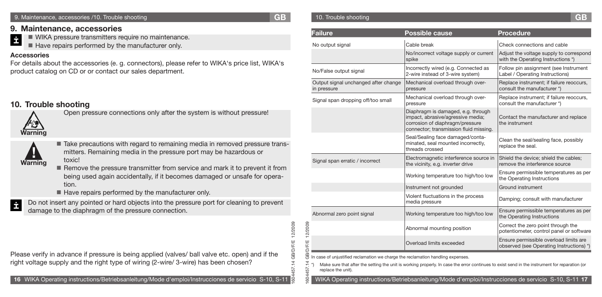### 9. Maintenance, accessories /10. Trouble shooting **GB**

1604457.14 GB/D/F/E 12/2009

57 <u>ES</u>

5d

**GB/D/F/E**  $\overline{a}$ 

12/2009

### **9. Maintenance, accessories**

İ WIKA pressure transmitters require no maintenance.

Have repairs performed by the manufacturer only.

### **Accessories**

For details about the accessories (e. g. connectors), please refer to WIKA's price list, WIKA's product catalog on CD or or contact our sales department.

# **10. Trouble shooting**



**! Warning**

Open pressure connections only after the system is without pressure!

Take precautions with regard to remaining media in removed pressure trans mitters. Remaining media in the pressure port may be hazardous or toxic!

Remove the pressure transmitter from service and mark it to prevent it from being used again accidentally, if it becomes damaged or unsafe for operation.

Have repairs performed by the manufacturer only.

İ

Do not insert any pointed or hard objects into the pressure port for cleaning to prevent damage to the diaphragm of the pressure connection.

Please verify in advance if pressure is being applied (valves/ ball valve etc. open) and if the right voltage supply and the right type of wiring (2-wire/ 3-wire) has been chosen?

## 10. Trouble shooting **GB**

| <b>Failure</b>                                                                                                                                                                                                                                                                                                                                                | <b>Possible cause</b>                                                                                                                                | <b>Procedure</b>                                                                   |  |  |  |  |  |  |
|---------------------------------------------------------------------------------------------------------------------------------------------------------------------------------------------------------------------------------------------------------------------------------------------------------------------------------------------------------------|------------------------------------------------------------------------------------------------------------------------------------------------------|------------------------------------------------------------------------------------|--|--|--|--|--|--|
| No output signal                                                                                                                                                                                                                                                                                                                                              | Cable break                                                                                                                                          | Check connections and cable                                                        |  |  |  |  |  |  |
|                                                                                                                                                                                                                                                                                                                                                               | No/incorrect voltage supply or current<br>spike                                                                                                      | Adjust the voltage supply to correspond<br>with the Operating Instructions *)      |  |  |  |  |  |  |
| No/False output signal                                                                                                                                                                                                                                                                                                                                        | Incorrectly wired (e.g. Connected as<br>2-wire instead of 3-wire system)                                                                             | Follow pin assignment (see Instrument<br>Label / Operating Instructions)           |  |  |  |  |  |  |
| Output signal unchanged after change<br>in pressure                                                                                                                                                                                                                                                                                                           | Mechanical overload through over-<br>pressure                                                                                                        | Replace instrument; if failure reoccurs,<br>consult the manufacturer *)            |  |  |  |  |  |  |
| Signal span dropping off/too small                                                                                                                                                                                                                                                                                                                            | Mechanical overload through over-<br>pressure                                                                                                        | Replace instrument; if failure reoccurs,<br>consult the manufacturer *)            |  |  |  |  |  |  |
|                                                                                                                                                                                                                                                                                                                                                               | Diaphragm is damaged, e.g. through<br>impact, abrasive/agressive media;<br>corrosion of diaphragm/pressure<br>connector; transmission fluid missing. | Contact the manufacturer and replace<br>the instrument                             |  |  |  |  |  |  |
|                                                                                                                                                                                                                                                                                                                                                               | Seal/Sealing face damaged/conta-<br>minated, seal mounted incorrectly,<br>threads crossed                                                            | Clean the seal/sealing face, possibly<br>replace the seal.                         |  |  |  |  |  |  |
| Signal span erratic / incorrect                                                                                                                                                                                                                                                                                                                               | Electromagnetic interference source in<br>the vicinity, e.g. inverter drive                                                                          | Shield the device; shield the cables;<br>remove the interference source            |  |  |  |  |  |  |
|                                                                                                                                                                                                                                                                                                                                                               | Working temperature too high/too low                                                                                                                 | Ensure permissible temperatures as per<br>the Operating Instructions               |  |  |  |  |  |  |
|                                                                                                                                                                                                                                                                                                                                                               | Instrument not grounded                                                                                                                              | Ground instrument                                                                  |  |  |  |  |  |  |
|                                                                                                                                                                                                                                                                                                                                                               | Violent fluctuations in the process<br>media pressure                                                                                                | Damping; consult with manufacturer                                                 |  |  |  |  |  |  |
| Abnormal zero point signal                                                                                                                                                                                                                                                                                                                                    | Working temperature too high/too low                                                                                                                 | Ensure permissible temperatures as per<br>the Operating Instructions               |  |  |  |  |  |  |
|                                                                                                                                                                                                                                                                                                                                                               | Abnormal mounting position                                                                                                                           | Correct the zero point through the<br>potentiometer, control panel or software     |  |  |  |  |  |  |
|                                                                                                                                                                                                                                                                                                                                                               | Overload limits exceeded                                                                                                                             | Ensure permissible overload limits are<br>observed (see Operating Instructions) *) |  |  |  |  |  |  |
| In case of unjustified reclamation we charge the reclamation handling expenses.<br>Make sure that after the setting the unit is working properly. In case the error continues to exist send in the instrument for reparation (or<br>replace the unit).<br>WIKA Operating instructions/Betriebsanleitung/Mode d'emploi/Instrucciones de servicio S-10, S-11 17 |                                                                                                                                                      |                                                                                    |  |  |  |  |  |  |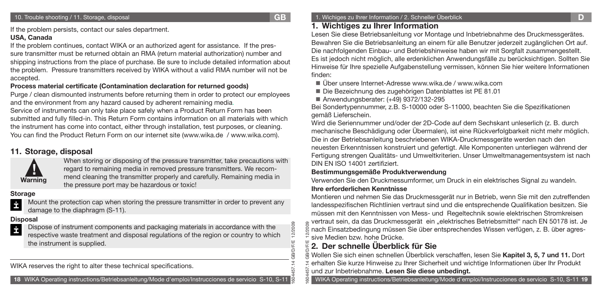1604457.14 GB/D/F/E 12/2009

2/2009

If the problem persists, contact our sales department.

### **USA, Canada**

If the problem continues, contact WIKA or an authorized agent for assistance. If the pressure transmitter must be returned obtain an RMA (return material authorization) number and shipping instructions from the place of purchase. Be sure to include detailed information about the problem. Pressure transmitters received by WIKA without a valid RMA number will not be accepted.

## **Process material certificate (Contamination declaration for returned goods)**

Purge / clean dismounted instruments before returning them in order to protect our employees and the environment from any hazard caused by adherent remaining media.

Service of instruments can only take place safely when a Product Return Form has been submitted and fully filled-in. This Return Form contains information on all materials with which the instrument has come into contact, either through installation, test purposes, or cleaning. You can find the Product Return Form on our internet site (www.wika.de / www.wika.com).

# **11. Storage, disposal**



When storing or disposing of the pressure transmitter, take precautions with regard to remaining media in removed pressure transmitters. We recommend cleaning the transmitter properly and carefully. Remaining media in the pressure port may be hazardous or toxic!

### **Storage**



Mount the protection cap when storing the pressure transmitter in order to prevent any damage to the diaphragm (S-11).

### **Disposal**



WIKA reserves the right to alter these technical specifications.

**18** WIKA Operating instructions/Betriebsanleitung/Mode d'emploi/Instrucciones de servicio S-10, S-11

### 1. Wichiges zu Ihrer Information / 2. Schneller Überblick **D**

# **1. Wichtiges zu Ihrer Information**

Lesen Sie diese Betriebsanleitung vor Montage und Inbetriebnahme des Druckmessgerätes. Bewahren Sie die Betriebsanleitung an einem für alle Benutzer jederzeit zugänglichen Ort auf. Die nachfolgenden Einbau- und Betriebshinweise haben wir mit Sorgfalt zusammengestellt. Es ist jedoch nicht möglich, alle erdenklichen Anwendungsfälle zu berücksichtigen. Sollten Sie Hinweise für Ihre spezielle Aufgabenstellung vermissen, können Sie hier weitere Informationen finden:

■ Über unsere Internet-Adresse www.wika.de / www.wika.com

Die Bezeichnung des zugehörigen Datenblattes ist PE 81.01

■ Anwendungsberater: (+49) 9372/132-295

Bei Sondertypennummer, z.B. S-10000 oder S-11000, beachten Sie die Spezifikationen gemäß Lieferschein.

Wird die Seriennummer und/oder der 2D-Code auf dem Sechskant unleserlich (z. B. durch mechanische Beschädigung oder Übermalen), ist eine Rückverfolgbarkeit nicht mehr möglich. Die in der Betriebsanleitung beschriebenen WIKA-Druckmessgeräte werden nach den neuesten Erkenntnissen konstruiert und gefertigt. Alle Komponenten unterliegen während der Fertigung strengen Qualitäts- und Umweltkriterien. Unser Umweltmanagementsystem ist nach DIN EN ISO 14001 zertifiziert.

## **Bestimmungsgemäße Produktverwendung**

Verwenden Sie den Druckmessumformer, um Druck in ein elektrisches Signal zu wandeln.

### **Ihre erforderlichen Kenntnisse**

Montieren und nehmen Sie das Druckmessgerät nur in Betrieb, wenn Sie mit den zutreffenden landesspezifischen Richtlinien vertraut sind und die entsprechende Qualifikation besitzen. Sie müssen mit den Kenntnissen von Mess- und Regeltechnik sowie elektrischen Stromkreisen vertraut sein, da das Druckmessgerät ein "elektrisches Betriebsmittel" nach EN 50178 ist. Je nach Einsatzbedingung müssen Sie über entsprechendes Wissen verfügen, z. B. über agressive Medien bzw. hohe Drücke.

# **2. Der schnelle Überblick für Sie**

1604457.14 GB/D/F/E 12/2009 Wollen Sie sich einen schnellen Überblick verschaffen, lesen Sie **Kapitel 3, 5, 7 und 11.** Dort erhalten Sie kurze Hinweise zu Ihrer Sicherheit und wichtige Informationen über Ihr Produkt und zur Inbetriebnahme. **Lesen Sie diese unbedingt.** 

WIKA Operating instructions/Betriebsanleitung/Mode d'emploi/Instrucciones de servicio S-10, S-11 **19**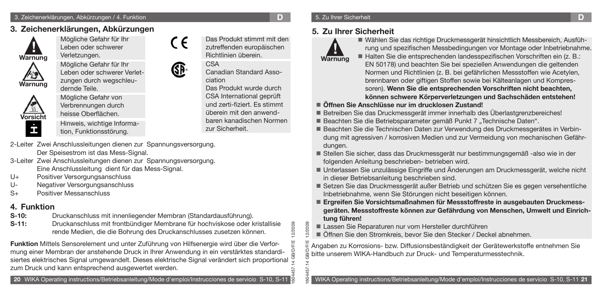# **3. Zeichenerklärungen, Abkürzungen**



Mögliche Gefahr für Ihr Leben oder schwerer



Verletzungen. Mögliche Gefahr für Ihr

Leben oder schwerer Verletzungen durch wegschleudernde Teile.



Mögliche Gefahr von Verbrennungen durch heisse Oberflächen.

Hinweis, wichtige Information, Funktionsstörung.

- 2-Leiter Zwei Anschlussleitungen dienen zur Spannungsversorgung. Der Speisestrom ist das Mess-Signal.
- 3-Leiter Zwei Anschlussleitungen dienen zur Spannungsversorgung. Eine Anschlussleitung dient für das Mess-Signal.
- U+ Positiver Versorgungsanschluss
- U- Negativer Versorgungsanschluss
- S+ Positiver Messanschluss

# **4. Funktion**

- **S-10:** Druckanschluss mit innenliegender Membran (Standardausführung).
- **S-11:** Druckanschluss mit frontbündiger Membrane für hochviskose oder kristallisie rende Medien, die die Bohrung des Druckanschlusses zusetzen können.

**Funktion** Mittels Sensorelement und unter Zuführung von Hilfsenergie wird über die Verformung einer Membran der anstehende Druck in Ihrer Anwendung in ein verstärktes standardisiertes elektrisches Signal umgewandelt. Dieses elektrische Signal verändert sich proportional  $\frac{\sigma}{5}$ zum Druck und kann entsprechend ausgewertet werden.



Das Produkt stimmt mit den zutreffenden europäischen Richtlinien überein.

Canadian Standard Asso-

Das Produkt wurde durch CSA International geprüft und zerti-fiziert. Es stimmt überein mit den anwendbaren kanadischen Normen

CSA

CE

GP.

ciation

zur Sicherheit.

1604457.14 GB/D/F/E 12/2009

VD/F/E

12/2009 12/2009

1604457.14 GB/D/F/E 12/2009

ŠЯ

# 5. Zu Ihrer Sicherheit **D**

# **5. Zu Ihrer Sicherheit**



Wählen Sie das richtige Druckmessgerät hinsichtlich Messbereich, Ausfüh rung und spezifischen Messbedingungen vor Montage oder Inbetriebnahme. ■ Halten Sie die entsprechenden landesspezifischen Vorschriften ein (z. B.:

EN 50178) und beachten Sie bei speziellen Anwendungen die geltenden Normen und Richtlinien (z. B. bei gefährlichen Messstoffen wie Acetylen, brennbaren oder giftigen Stoffen sowie bei Kälteanlagen und Kompressoren). **Wenn Sie die entsprechenden Vorschriften nicht beachten, können schwere Körperverletzungen und Sachschäden entstehen!**

## **Öffnen Sie Anschlüsse nur im drucklosen Zustand!**

- Betreiben Sie das Druckmessgerät immer innerhalb des Überlastgrenzbereiches!
- Beachten Sie die Betriebsparameter gemäß Punkt 7 "Technische Daten".
- Beachten Sie die Technischen Daten zur Verwendung des Druckmessgerätes in Verbin dung mit agressiven / korrosiven Medien und zur Vermeidung von mechanischen Gefährdungen.
- Stellen Sie sicher, dass das Druckmessgerät nur bestimmungsgemäß -also wie in der folgenden Anleitung beschrieben- betrieben wird.
- Unterlassen Sie unzulässige Eingriffe und Änderungen am Druckmessgerät, welche nicht in dieser Betriebsanleitung beschrieben sind.
- Setzen Sie das Druckmessgerät außer Betrieb und schützen Sie es gegen versehentliche Inbetriebnahme, wenn Sie Störungen nicht beseitigen können.
- **Ergreifen Sie Vorsichtsmaßnahmen für Messstoffreste in ausgebauten Druckmess geräten. Messstoffreste können zur Gefährdung von Menschen, Umwelt und Einrichtung führen!**
- Lassen Sie Reparaturen nur vom Hersteller durchführen
- Öffnen Sie den Stromkreis, bevor Sie den Stecker / Deckel abnehmen.

Angaben zu Korrosions- bzw. Diffusionsbeständigkeit der Gerätewerkstoffe entnehmen Sie bitte unserem WIKA-Handbuch zur Druck- und Temperaturmesstechnik.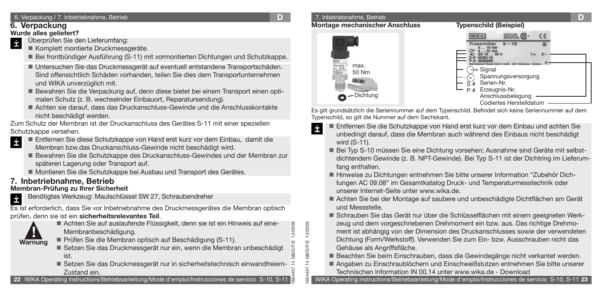# **6. Verpackung**

## **Wurde alles geliefert?**

- Überprüfen Sie den Lieferumfang: İ
	- Komplett montierte Druckmessgeräte.
	- Bei frontbündiger Ausführung (S-11) mit vormontierten Dichtungen und Schutzkappe.
	- Untersuchen Sie das Druckmessgerät auf eventuell entstandene Transportschäden. Sind offensichtlich Schäden vorhanden, teilen Sie dies dem Transportunternehmen und WIKA unverzüglich mit.
	- Bewahren Sie die Verpackung auf, denn diese bietet bei einem Transport einen opti malen Schutz (z. B. wechselnder Einbauort, Reparatursendung).
	- Achten sie darauf, dass das Druckanschluss-Gewinde und die Anschlusskontakte nicht beschädigt werden.

Zum Schutz der Membran ist der Druckanschluss des Gerätes S-11 mit einer speziellen Schutzkappe versehen.

- Entfernen Sie diese Schutzkappe von Hand erst kurz vor dem Einbau, damit die İ
	- Membran bzw.das Druckanschluss-Gewinde nicht beschädigt wird.
	- Bewahren Sie die Schutzkappe des Druckanschluss-Gewindes und der Membran zur späteren Lagerung oder Transport auf.
	- Montieren Sie die Schutzkappe bei Ausbau und Transport des Gerätes.

# **7. Inbetriebnahme, Betrieb**

# **Membran-Prüfung zu Ihrer Sicherheit**

Benötigtes Werkzeug: Maulschlüssel SW 27, Schraubendreher İ

Es ist erforderlich, dass Sie vor Inbetriebnahme des Druckmessgerätes die Membran optisch prüfen, denn sie ist ein **sicherheitsrelevantes Teil**.



Achten Sie auf auslaufende Flüssigkeit, denn sie ist ein Hinweis auf eine- Membranbeschädigung.

- Prüfen Sie die Membran optisch auf Beschädigung (S-11).
- Setzen Sie das Druckmessgerät nur ein, wenn die Membran unbeschädigt ist.
- Setzen Sie das Druckmessgerät nur in sicherheitstechnisch einwandfreiem- Zustand ein.

**22** WIKA Operating instructions/Betriebsanleitung/Mode d'emploi/Instrucciones de servicio S-10, S-11

1604457.14 GB/D/F/E 12/2009

1604457.14 GB/D/F/E 12/2009

.14 GB/D/F/E

57 Š\$

12/2009

7. Inbetriebnahme, Betrieb **D Montage mechanischer Anschluss** 



Es gilt grundsätzlich die Seriennummer auf dem Typenschild. Befindet sich keine Seriennummer auf dem Typenschild, so gilt die Nummer auf dem Sechskant.

- İ Entfernen Sie die Schutzkappe von Hand erst kurz vor dem Einbau und achten Sie unbedingt darauf, dass die Membran auch während des Einbaus nicht beschädigt wird (S-11).
	- Bei Typ S-10 müssen Sie eine Dichtung vorsehen; Ausnahme sind Geräte mit selbst dichtendem Gewinde (z. B. NPT-Gewinde). Bei Typ S-11 ist der Dichtring im Lieferumfang enthalten.
	- Hinweise zu Dichtungen entnehmen Sie bitte unserer Information "Zubehör Dich tungen AC 09.08" im Gesamtkatalog Druck- und Temperaturmesstechnik oder unserer Internet-Seite unter www.wika.de.
	- Achten Sie bei der Montage auf saubere und unbeschädigte Dichtflächen am Gerät und Messstelle.
	- Schrauben Sie das Gerät nur über die Schlüsselflächen mit einem geeigneten Werk zeug und dem vorgeschriebenen Drehmoment ein bzw. aus. Das richtige Drehmoment ist abhängig von der Dimension des Druckanschlusses sowie der verwendeten Dichtung (Form/Werkstoff). Verwenden Sie zum Ein- bzw. Ausschrauben nicht das Gehäuse als Angriffsfläche.
	- Beachten Sie beim Einschrauben, dass die Gewindegänge nicht verkantet werden.
	- Angaben zu Einschraublöchern und Einschweißstutzen entnehmen Sie bitte unserer Technischen Information IN 00.14 unter www.wika.de - Download

WIKA Operating instructions/Betriebsanleitung/Mode d'emploi/Instrucciones de servicio S-10, S-11 **23**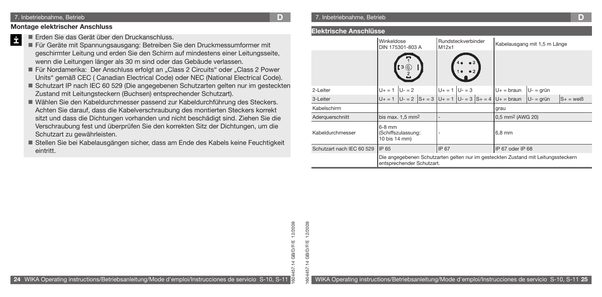#### 7. Inbetriebnahme, Betrieb **D**

### **Montage elektrischer Anschluss**

- Erden Sie das Gerät über den Druckanschluss. İ
	- Für Geräte mit Spannungsausgang: Betreiben Sie den Druckmessumformer mit geschirmter Leitung und erden Sie den Schirm auf mindestens einer Leitungsseite, wenn die Leitungen länger als 30 m sind oder das Gebäude verlassen.
	- Für Nordamerika: Der Anschluss erfolgt an "Class 2 Circuits" oder "Class 2 Power Units" gemäß CEC ( Canadian Electrical Code) oder NEC (National Electrical Code).
	- Schutzart IP nach IEC 60 529 (Die angegebenen Schutzarten gelten nur im gesteckten Zustand mit Leitungsteckern (Buchsen) entsprechender Schutzart).
	- Wählen Sie den Kabeldurchmesser passend zur Kabeldurchführung des Steckers. Achten Sie darauf, dass die Kabelverschraubung des montierten Steckers korrekt sitzt und dass die Dichtungen vorhanden und nicht beschädigt sind. Ziehen Sie die Verschraubung fest und überprüfen Sie den korrekten Sitz der Dichtungen, um die Schutzart zu gewährleisten.
	- Stellen Sie bei Kabelausgängen sicher, dass am Ende des Kabels keine Feuchtigkeit eintritt.

### **Elektrische Anschlüsse**

|                           | Winkeldose<br>DIN 175301-803 A                  | Rundsteckverbinder<br>M12x1                                                       | Kabelausgang mit 1,5 m Länge |             |              |  |
|---------------------------|-------------------------------------------------|-----------------------------------------------------------------------------------|------------------------------|-------------|--------------|--|
|                           | :3 ©                                            |                                                                                   |                              |             |              |  |
| 2-Leiter                  | $U + = 1$<br>$U - 2$                            | $U_+ = 1$ $ U_-= 3$                                                               | $U_+$ = braun                | $U - qr$ ün |              |  |
| 3-Leiter                  | $U_+ = 1$ $ U_- = 2$                            | $ S_+ = 3  U_+ = 1  U_- = 3  S_+ = 4  U_+ = \text{braun}$                         |                              | $U - qr$ ün | $S_+$ = weiß |  |
| Kabelschirm               |                                                 |                                                                                   | grau                         |             |              |  |
| Aderquerschnitt           | bis max. $1.5$ mm <sup>2</sup>                  |                                                                                   | 0,5 mm <sup>2</sup> (AWG 20) |             |              |  |
| Kabeldurchmesser          | $6-8$ mm<br>(Schiffszulassung:<br>10 bis 14 mm) |                                                                                   | $6,8$ mm                     |             |              |  |
| Schutzart nach IEC 60 529 | IP 65                                           | IP 67                                                                             | IP 67 oder IP 68             |             |              |  |
|                           | entsprechender Schutzart.                       | Die angegebenen Schutzarten gelten nur im gesteckten Zustand mit Leitungssteckern |                              |             |              |  |

**24** WIKA Operating instructions/Betriebsanleitung/Mode d'emploi/Instrucciones de servicio S-10, S-11

12/2009 1604457.14 GB/D/F/E 12/2009 .14 GB/D/F/E 57

1604457.14 GB/D/F/E 12/2009

604

GB/D/F/E

12/2009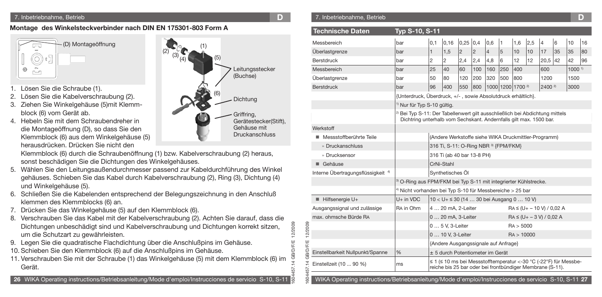**Montage des Winkelsteckverbinder nach DIN EN 175301-803 Form A** 



- Lösen Sie die Schraube (1).
- 2. Lösen Sie die Kabelverschraubung (2).
- 3. Ziehen Sie Winkelgehäuse (5)mit Klemmblock (6) vom Gerät ab.
- 4. Hebeln Sie mit dem Schraubendreher in die Montageöffnung (D), so dass Sie den Klemmblock (6) aus dem Winkelgehäuse (5) herausdrücken. Drücken Sie nicht den



1604457.14 GB/D/F/E 12/2009

1604457.14 GB/D/F/E 12/2009

 $\overline{5}$ ŠЯ

4 GB/D/F/E

12/2009 ä

Klemmblock (6) durch die Schraubenöffnung (1) bzw. Kabelverschraubung (2) heraus, sonst beschädigen Sie die Dichtungen des Winkelgehäuses.

- 5. Wählen Sie den Leitungsaußendurchmesser passend zur Kabeldurchführung des Winkel gehäuses. Schieben Sie das Kabel durch Kabelverschraubung (2), Ring (3), Dichtung (4) und Winkelgehäuse (5).
- 6. Schließen Sie die Kabelenden entsprechend der Belegungszeichnung in den Anschluß klemmen des Klemmblocks (6) an.
- 7. Drücken Sie das Winkelgehäuse (5) auf den Klemmblock (6).
- 8. Verschrauben Sie das Kabel mit der Kabelverschraubung (2). Achten Sie darauf, dass die Dichtungen unbeschädigt sind und Kabelverschraubung und Dichtungen korrekt sitzen, um die Schutzart zu gewährleisten.
- 9. Legen Sie die quadratische Flachdichtung über die Anschlußpins im Gehäuse.
- 10. Schieben Sie den Klemmblock (6) auf die Anschlußpins im Gehäuse.
- 11. Verschrauben Sie mit der Schraube (1) das Winkelgehäuse (5) mit dem Klemmblock (6) im Gerät.

### 7. Inbetriebnahme, Betrieb **D** 7. Inbetriebnahme, Betrieb **D**

| <b>Technische Daten</b>                                                                                                                                        | Typ S-10, S-11                                                                                                                                                |                                                              |                                                      |                 |     |                |                              |            |                                |                |    |                   |    |
|----------------------------------------------------------------------------------------------------------------------------------------------------------------|---------------------------------------------------------------------------------------------------------------------------------------------------------------|--------------------------------------------------------------|------------------------------------------------------|-----------------|-----|----------------|------------------------------|------------|--------------------------------|----------------|----|-------------------|----|
| Messbereich                                                                                                                                                    | bar                                                                                                                                                           | 0,1                                                          | 0,16                                                 | $0.25 \mid 0.4$ |     | 0,6            | 1                            | 1,6        | 2,5                            | $\overline{4}$ | 6  | 10                | 16 |
| Überlastgrenze                                                                                                                                                 | bar                                                                                                                                                           | 1                                                            | 1,5                                                  | $\overline{2}$  | 2   | $\overline{4}$ | 5                            | 10         | 10                             | 17             | 35 | 35                | 80 |
| Berstdruck                                                                                                                                                     | bar                                                                                                                                                           | 2                                                            | 2                                                    | 2,4             | 2,4 | 4,8            | 6                            | 12         | 12                             | $20,5$ 42      |    | 42                | 96 |
| Messbereich                                                                                                                                                    | bar                                                                                                                                                           | 25                                                           | 40                                                   | 60              | 100 | 160            | 250                          | 400        |                                | 600            |    | 1000 <sup>1</sup> |    |
| Überlastgrenze                                                                                                                                                 | bar                                                                                                                                                           | 50                                                           | 80                                                   | 120             | 200 | 320            | 500                          | 800        |                                | 1200           |    | 1500              |    |
| <b>Berstdruck</b>                                                                                                                                              | bar                                                                                                                                                           | 96                                                           | 400                                                  | 550             | 800 |                | 1000 1200 1700 <sup>2)</sup> |            |                                | $2400^{2}$     |    | 3000              |    |
|                                                                                                                                                                |                                                                                                                                                               | {Unterdruck, Überdruck, +/-, sowie Absolutdruck erhältlich}. |                                                      |                 |     |                |                              |            |                                |                |    |                   |    |
|                                                                                                                                                                |                                                                                                                                                               | <sup>1)</sup> Nur für Typ S-10 gültig.                       |                                                      |                 |     |                |                              |            |                                |                |    |                   |    |
|                                                                                                                                                                | <sup>2)</sup> Bei Typ S-11: Der Tabellenwert gilt ausschließlich bei Abdichtung mittels<br>Dichtring unterhalb vom Sechskant. Andernfalls gilt max. 1500 bar. |                                                              |                                                      |                 |     |                |                              |            |                                |                |    |                   |    |
| Werkstoff                                                                                                                                                      |                                                                                                                                                               |                                                              |                                                      |                 |     |                |                              |            |                                |                |    |                   |    |
| Messstoffberührte Teile                                                                                                                                        |                                                                                                                                                               |                                                              | (Andere Werkstoffe siehe WIKA Druckmittler-Programm) |                 |     |                |                              |            |                                |                |    |                   |    |
| » Druckanschluss                                                                                                                                               |                                                                                                                                                               |                                                              | 316 Ti, S-11: O-Ring NBR 3) {FPM/FKM}                |                 |     |                |                              |            |                                |                |    |                   |    |
| » Drucksensor                                                                                                                                                  |                                                                                                                                                               |                                                              | 316 Ti (ab 40 bar 13-8 PH)                           |                 |     |                |                              |            |                                |                |    |                   |    |
| Gehäuse                                                                                                                                                        |                                                                                                                                                               |                                                              | CrNi-Stahl                                           |                 |     |                |                              |            |                                |                |    |                   |    |
| Interne Übertragungsflüssigkeit <sup>4)</sup>                                                                                                                  |                                                                                                                                                               |                                                              | Synthetisches Öl                                     |                 |     |                |                              |            |                                |                |    |                   |    |
|                                                                                                                                                                | <sup>3)</sup> O-Ring aus FPM/FKM bei Typ S-11 mit integrierter Kühlstrecke.                                                                                   |                                                              |                                                      |                 |     |                |                              |            |                                |                |    |                   |    |
|                                                                                                                                                                | <sup>4)</sup> Nicht vorhanden bei Typ S-10 für Messbereiche $>$ 25 bar                                                                                        |                                                              |                                                      |                 |     |                |                              |            |                                |                |    |                   |    |
| Hilfsenergie U+                                                                                                                                                | $U+$ in $VDC$                                                                                                                                                 |                                                              | 10 < U+ ≤ 30 (14  30 bei Ausgang 0  10 V)            |                 |     |                |                              |            |                                |                |    |                   |    |
| Ausgangssignal und zulässige                                                                                                                                   | RA in Ohm                                                                                                                                                     |                                                              | 4  20 mA. 2-Leiter                                   |                 |     |                |                              |            | $RA \leq (U + -10 V) / 0.02 A$ |                |    |                   |    |
| max, ohmsche Bürde RA                                                                                                                                          |                                                                                                                                                               |                                                              | 0  20 mA, 3-Leiter                                   |                 |     |                |                              |            | $RA \leq (U + -3 V) / 0.02 A$  |                |    |                   |    |
|                                                                                                                                                                |                                                                                                                                                               |                                                              | 0  5 V, 3-Leiter                                     |                 |     |                |                              | RA > 5000  |                                |                |    |                   |    |
|                                                                                                                                                                |                                                                                                                                                               |                                                              | 0  10 V, 3-Leiter                                    |                 |     |                |                              | RA > 10000 |                                |                |    |                   |    |
|                                                                                                                                                                |                                                                                                                                                               |                                                              | {Andere Ausgangssignale auf Anfrage}                 |                 |     |                |                              |            |                                |                |    |                   |    |
| Einstellbarkeit Nullpunkt/Spanne                                                                                                                               | %                                                                                                                                                             |                                                              | ± 5 durch Potentiometer im Gerät                     |                 |     |                |                              |            |                                |                |    |                   |    |
| ≤ 1 (≤ 10 ms bei Messstofftemperatur <-30 °C (-22°F) für Messbe-<br>Einstellzeit (10  90 %)<br>ms<br>reiche bis 25 bar oder bei frontbündiger Membrane (S-11). |                                                                                                                                                               |                                                              |                                                      |                 |     |                |                              |            |                                |                |    |                   |    |
| WIKA Operating instructions/Betriebsanleitung/Mode d'emploi/Instrucciones de servicio S-10, S-11 27                                                            |                                                                                                                                                               |                                                              |                                                      |                 |     |                |                              |            |                                |                |    |                   |    |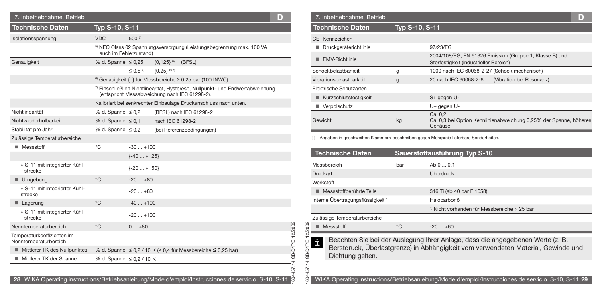| 7. Inbetriebnahme, Betrieb                          |                                                      |                         |                                                                                                                              | D        |          | 7. Inbetriebnahme, Betrieb                    |                       |                                                                                                    | D |
|-----------------------------------------------------|------------------------------------------------------|-------------------------|------------------------------------------------------------------------------------------------------------------------------|----------|----------|-----------------------------------------------|-----------------------|----------------------------------------------------------------------------------------------------|---|
| <b>Technische Daten</b>                             | <b>Typ S-10, S-11</b>                                |                         |                                                                                                                              |          |          | <b>Technische Daten</b>                       | <b>Typ S-10, S-11</b> |                                                                                                    |   |
| Isolationsspannung                                  | VDC                                                  | 500 5)                  |                                                                                                                              |          |          | CE-Kennzeichen                                |                       |                                                                                                    |   |
|                                                     |                                                      |                         | NEC Class 02 Spannungsversorgung (Leistungsbegrenzung max. 100 VA                                                            |          |          | ■ Druckgeräterichtlinie                       |                       | 97/23/EG                                                                                           |   |
|                                                     | auch im Fehlerzustand)<br>$\%$ d. Spanne $\leq 0.25$ |                         |                                                                                                                              |          |          | EMV-Richtlinie                                |                       | 2004/108/EG, EN 61326 Emission (Gruppe 1, Klasse B) und                                            |   |
| Genauigkeit                                         |                                                      | $\leq 0.5$ <sup>7</sup> | ${0,125}$ <sup>6)</sup> (BFSL)<br>${0,25}$ 6) 7)                                                                             |          |          | Schockbelastbarkeit                           |                       | Störfestigkeit (industrieller Bereich)                                                             |   |
|                                                     |                                                      |                         |                                                                                                                              |          |          |                                               |                       | 1000 nach IEC 60068-2-27 (Schock mechanisch)<br>20 nach IEC 60068-2-6                              |   |
|                                                     |                                                      |                         | Genauigkeit { } für Messbereiche ≥ 0,25 bar (100 INWC).                                                                      |          |          | Vibrationsbelastbarkeit                       | a                     | (Vibration bei Resonanz)                                                                           |   |
|                                                     |                                                      |                         | Einschließlich Nichtlinearität, Hysterese, Nullpunkt- und Endwertabweichung<br>(entspricht Messabweichung nach IEC 61298-2). |          |          | Elektrische Schutzarten                       |                       |                                                                                                    |   |
|                                                     |                                                      |                         | Kalibriert bei senkrechter Einbaulage Druckanschluss nach unten.                                                             |          |          | ■ Kurzschlussfestigkeit                       |                       | $S+gegen U-$                                                                                       |   |
| Nichtlinearität                                     | % d. Spanne $\leq 0.2$                               |                         | (BFSL) nach IEC 61298-2                                                                                                      |          |          | ■ Verpolschutz                                |                       | U+ gegen U-                                                                                        |   |
| Nichtwiederholbarkeit                               | $\%$ d. Spanne $\leq 0.1$                            |                         | nach IEC 61298-2                                                                                                             |          | Gewicht  |                                               | kg                    | Ca. 0,2<br>Ca. 0,3 bei Option Kennlinienabweichung 0,25% der Spanne, höhe                          |   |
| Stabilität pro Jahr                                 | $\%$ d. Spanne $\leq 0.2$                            |                         | (bei Referenzbedingungen)                                                                                                    |          |          |                                               |                       | Gehäuse                                                                                            |   |
| Zulässige Temperaturbereiche                        |                                                      |                         |                                                                                                                              |          |          |                                               |                       | Angaben in geschweiften Klammern beschreiben gegen Mehrpreis lieferbare Sonderheiten.              |   |
| ■ Messstoff                                         | °C                                                   | $-30+100$               |                                                                                                                              |          |          |                                               |                       |                                                                                                    |   |
|                                                     |                                                      | $\{-40+125\}$           |                                                                                                                              |          |          | <b>Technische Daten</b>                       |                       | Sauerstoffausführung Typ S-10                                                                      |   |
| » S-11 mit integrierter Kühl<br>strecke             |                                                      | $\{-20+150\}$           |                                                                                                                              |          | Druckart | Messbereich                                   | bar                   | Ab 0  0,1<br><b>Überdruck</b>                                                                      |   |
| $\blacksquare$ Umgebung                             | $^{\circ}$ C                                         | $-20+80$                |                                                                                                                              |          |          | Werkstoff                                     |                       |                                                                                                    |   |
| » S-11 mit integrierter Kühl-<br>strecke            |                                                      | $-20+80$                |                                                                                                                              |          |          | ■ Messstoffberührte Teile                     |                       | 316 Ti (ab 40 bar F 1058)                                                                          |   |
| $\blacksquare$ Lagerung                             | $^{\circ}$ C                                         | $-40+100$               |                                                                                                                              |          |          | Interne Übertragungsflüssigkeit <sup>1)</sup> |                       | Halocarbonöl                                                                                       |   |
| » S-11 mit integrierter Kühl-<br>strecke            |                                                      | $-20+100$               |                                                                                                                              |          |          | Zulässige Temperaturbereiche                  |                       | Nicht vorhanden für Messbereiche > 25 bar                                                          |   |
| Nenntemperaturbereich                               | $^{\circ}$ C                                         | $ 0+80 $                |                                                                                                                              | 2/2009   | 2009     | $M$ Messstoff                                 | $^{\circ}$ C          | $-20+60$                                                                                           |   |
| Temperaturkoeffizienten im<br>Nenntemperaturbereich |                                                      |                         |                                                                                                                              |          | İ        |                                               |                       | Beachten Sie bei der Auslegung Ihrer Anlage, dass die angegebenen Werte (z. B.                     |   |
| Mittlerer TK des Nullpunktes                        |                                                      |                         | $\frac{1}{6}$ d. Spanne $\leq$ 0,2 / 10 K (< 0,4 für Messbereiche ≤ 0,25 bar)                                                | DÆ,      | ð        |                                               |                       | Berstdruck, Überlastgrenze) in Abhängigkeit vom verwendeten Material, Gewinde und                  |   |
| Mittlerer TK der Spanne                             | $\frac{9}{6}$ d. Spanne $\leq 0.2$ / 10 K            |                         |                                                                                                                              | g,<br>লে | GB)      | Dichtung gelten.                              |                       |                                                                                                    |   |
|                                                     |                                                      |                         |                                                                                                                              |          |          |                                               |                       |                                                                                                    |   |
|                                                     |                                                      |                         | 28 WIKA Operating instructions/Betriebsanleitung/Mode d'emploi/Instrucciones de servicio S-10, S-11                          |          |          |                                               |                       | WIKA Operating instructions/Betriebsanleitung/Mode d'emploi/Instrucciones de servicio S-10, S-11 2 |   |

| 7. Inbetriebnahme, Betrieb |                |                                                                                                   | D |
|----------------------------|----------------|---------------------------------------------------------------------------------------------------|---|
| Technische Daten           | Typ S-10, S-11 |                                                                                                   |   |
| CE-Kennzeichen             |                |                                                                                                   |   |
| Druckgeräterichtlinie      |                | 97/23/EG                                                                                          |   |
| <b>EMV-Richtlinie</b><br>٠ |                | 2004/108/EG, EN 61326 Emission (Gruppe 1, Klasse B) und<br>Störfestigkeit (industrieller Bereich) |   |
| Schockbelastbarkeit        | g              | 1000 nach IEC 60068-2-27 (Schock mechanisch)                                                      |   |
| Vibrationsbelastbarkeit    | g              | 20 nach IEC 60068-2-6<br>(Vibration bei Resonanz)                                                 |   |
| Elektrische Schutzarten    |                |                                                                                                   |   |
| ■ Kurzschlussfestigkeit    |                | S+ gegen U-                                                                                       |   |
| Verpolschutz               |                | U+ gegen U-                                                                                       |   |
| Gewicht                    | kg             | Ca. 0,2<br>Ca. 0,3 bei Option Kennlinienabweichung 0,25% der Spanne, höheres<br>Gehäuse           |   |

| <b>Technische Daten</b>                       |             | Sauerstoffausführung Typ S-10                             |
|-----------------------------------------------|-------------|-----------------------------------------------------------|
| Messbereich                                   | bar         | Ab 0  0,1                                                 |
| <b>Druckart</b>                               |             | Überdruck                                                 |
| Werkstoff                                     |             |                                                           |
| $\blacksquare$ Messstoffberührte Teile        |             | 316 Ti (ab 40 bar F 1058)                                 |
| Interne Übertragungsflüssigkeit <sup>1)</sup> |             | Halocarbonöl                                              |
|                                               |             | <sup>1)</sup> Nicht vorhanden für Messbereiche $>$ 25 bar |
| Zulässige Temperaturbereiche                  |             |                                                           |
| Messstoff                                     | $^{\circ}C$ | $-20+60$                                                  |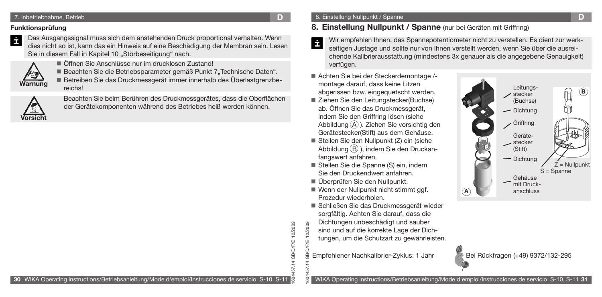### 7. Inbetriebnahme, Betrieb **D**

### **Funktionsprüfung**

İ

Das Ausgangssignal muss sich dem anstehenden Druck proportional verhalten. Wenn dies nicht so ist, kann das ein Hinweis auf eine Beschädigung der Membran sein. Lesen Sie in diesem Fall in Kapitel 10 "Störbeseitigung" nach.

Öffnen Sie Anschlüsse nur im drucklosen Zustand!



**orsich** 

Beachten Sie die Betriebsparameter gemäß Punkt 7"Technische Daten". Betreiben Sie das Druckmessgerät immer innerhalb des Überlastgrenzbe-

reichs!

Beachten Sie beim Berühren des Druckmessgerätes, dass die Oberflächen der Gerätekomponenten während des Betriebes heiß werden können.

# **8. Einstellung Nullpunkt / Spanne** (nur bei Geräten mit Griffring)

- Wir empfehlen Ihnen, das Spannepotentiometer nicht zu verstellen. Es dient zur werk-E seitigen Justage und sollte nur von Ihnen verstellt werden, wenn Sie über die ausreichende Kalibrierausstattung (mindestens 3x genauer als die angegebene Genauigkeit) verfügen.
- Achten Sie bei der Steckerdemontage / montage darauf, dass keine Litzen abgerissen bzw. eingequetscht werden.
- Ziehen Sie den Leitungstecker(Buchse) ab. Öffnen Sie das Druckmessgerät, indem Sie den Griffring lösen (siehe Abbildung  $\widehat{A}$ ). Ziehen Sie vorsichtig den Gerätestecker(Stift) aus dem Gehäuse.
- Stellen Sie den Nullpunkt (Z) ein (siehe Abbildung  $(B)$ , indem Sie den Druckanfangswert anfahren.
- Stellen Sie die Spanne (S) ein, indem Sie den Druckendwert anfahren.
- Überprüfen Sie den Nullpunkt.

1604457.14 GB/D/F/E 12/2009

14 GB/D/F/E

57

12/2009

- Wenn der Nullpunkt nicht stimmt ggf. Prozedur wiederholen.
- Schließen Sie das Druckmessgerät wieder sorgfältig. Achten Sie darauf, dass die
- 1604457.14 GB/D/F/E 12/2009 Dichtungen unbeschädigt und sauber sind und auf die korrekte Lage der Dich
	- tungen, um die Schutzart zu gewährleisten.
- Empfohlener Nachkalibrier-Zyklus: 1 Jahr Bei Rückfragen (+49) 9372/132-295





WIKA Operating instructions/Betriebsanleitung/Mode d'emploi/Instrucciones de servicio S-10, S-11 **31**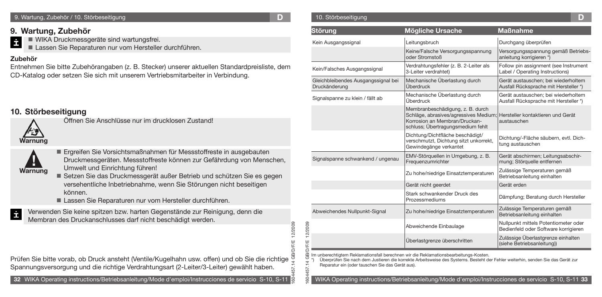#### 9. Wartung, Zubehör / 10. Störbeseitigung

**D**

10. Störbeseitigung

1604457.14 GB/D/F/E 12/2009

**O/F/E** 

12/2009

# **9. Wartung, Zubehör**

- İ WIKA Druckmessgeräte sind wartungsfrei.
	- Lassen Sie Reparaturen nur vom Hersteller durchführen.

# **Zubehör**

Entnehmen Sie bitte Zubehörangaben (z. B. Stecker) unserer aktuellen Standardpreisliste, dem CD-Katalog oder setzen Sie sich mit unserem Vertriebsmitarbeiter in Verbindung.

# **10. Störbeseitigung**



**! Warnung** Ergreifen Sie Vorsichtsmaßnahmen für Messstoffreste in ausgebauten

- Druckmessgeräten. Messstoffreste können zur Gefährdung von Menschen, Umwelt und Einrichtung führen!
- Setzen Sie das Druckmessgerät außer Betrieb und schützen Sie es gegen versehentliche Inbetriebnahme, wenn Sie Störungen nicht beseitigen können.
- Lassen Sie Reparaturen nur vom Hersteller durchführen.
- Verwenden Sie keine spitzen bzw. harten Gegenstände zur Reinigung, denn die İ Membran des Druckanschlusses darf nicht beschädigt werden.

Öffnen Sie Anschlüsse nur im drucklosen Zustand!

| Störung                                                                                                                                   | <b>Mögliche Ursache</b>                                                                                                                         | <b>Maßnahme</b>                                                                                     |
|-------------------------------------------------------------------------------------------------------------------------------------------|-------------------------------------------------------------------------------------------------------------------------------------------------|-----------------------------------------------------------------------------------------------------|
| Kein Ausgangssignal                                                                                                                       | Leitungsbruch                                                                                                                                   | Durchgang überprüfen                                                                                |
|                                                                                                                                           | Keine/Falsche Versorgungsspannung<br>oder Stromstoß                                                                                             | Versorgungsspannung gemäß Betriebs-<br>anleitung korrigieren *)                                     |
| Kein/Falsches Ausgangssignal                                                                                                              | Verdrahtungsfehler (z. B. 2-Leiter als<br>3-Leiter verdrahtet)                                                                                  | Follow pin assignment (see Instrument<br>Label / Operating Instructions)                            |
| Gleichbleibendes Ausgangssignal bei<br>Druckänderung                                                                                      | Mechanische Überlastung durch<br>Überdruck                                                                                                      | Gerät austauschen: bei wiederholtem<br>Ausfall Rücksprache mit Hersteller *)                        |
| Signalspanne zu klein / fällt ab                                                                                                          | Mechanische Überlastung durch<br>Überdruck                                                                                                      | Gerät austauschen; bei wiederholtem<br>Ausfall Rücksprache mit Hersteller *)                        |
|                                                                                                                                           | Membranbeschädigung, z. B. durch<br>Schläge, abrasives/agressives Medium;<br>Korrosion an Membran/Druckan-<br>schluss; Übertragungsmedium fehlt | Hersteller kontaktieren und Gerät<br>austauschen                                                    |
|                                                                                                                                           | Dichtung/Dichtfläche beschädigt/<br>verschmutzt, Dichtung sitzt unkorrekt,<br>Gewindegänge verkantet                                            | Dichtung/-Fläche säubern, evtl. Dich-<br>tung austauschen                                           |
| Signalspanne schwankend / ungenau                                                                                                         | EMV-Störquellen in Umgebung, z. B.<br>Frequenzumrichter                                                                                         | Gerät abschirmen; Leitungsabschir-<br>mung; Störguelle entfernen                                    |
|                                                                                                                                           | Zu hohe/niedrige Einsatztemperaturen                                                                                                            | Zulässige Temperaturen gemäß<br>Betriebsanleitung einhalten                                         |
|                                                                                                                                           | Gerät nicht geerdet                                                                                                                             | Gerät erden                                                                                         |
|                                                                                                                                           | Stark schwankender Druck des<br>Prozessmediums                                                                                                  | Dämpfung; Beratung durch Hersteller                                                                 |
| Abweichendes Nullpunkt-Signal                                                                                                             | Zu hohe/niedrige Einsatztemperaturen                                                                                                            | Zulässige Temperaturen gemäß<br>Betriebsanleitung einhalten                                         |
|                                                                                                                                           | Abweichende Einbaulage                                                                                                                          | Nullpunkt mittels Potentiometer oder<br>Bedienfeld oder Software korrigieren                        |
|                                                                                                                                           | Überlastgrenze überschritten                                                                                                                    | Zulässige Überlastgrenze einhalten<br>(siehe Betriebsanleitung))                                    |
| Im unberechtigtem Reklamationsfall berechnen wir die Reklamationsbearbeitungs-Kosten.<br>Reparatur ein (oder tauschen Sie das Gerät aus). | Überprüfen Sie nach dem Justieren die korrekte Arbeitsweise des Systems. Besteht der Fehler weiterhin, senden Sie das Gerät zur                 | WIKA Operating instructions/Betriebsanleitung/Mode d'emploi/Instrucciones de servicio S-10, S-11 33 |

Prüfen Sie bitte vorab, ob Druck ansteht (Ventile/Kugelhahn usw. offen) und ob Sie die richtige Spannungsversorgung und die richtige Verdrahtungsart (2-Leiter/3-Leiter) gewählt haben.

**32** WIKA Operating instructions/Betriebsanleitung/Mode d'emploi/Instrucciones de servicio S-10, S-11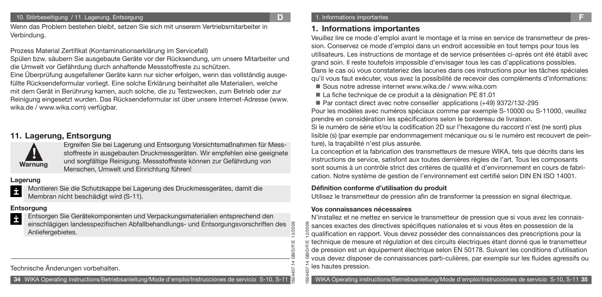Wenn das Problem bestehen bleibt, setzen Sie sich mit unserem Vertriebsmitarbeiter in Verbindung.

Prozess Material Zertifikat (Kontaminationserklärung im Servicefall)

Spülen bzw. säubern Sie ausgebaute Geräte vor der Rücksendung, um unsere Mitarbeiter und die Umwelt vor Gefährdung durch anhaftende Messstoffreste zu schützen.

Eine Überprüfung ausgefallener Geräte kann nur sicher erfolgen, wenn das vollständig ausgefüllte Rücksendeformular vorliegt. Eine solche Erklärung beinhaltet alle Materialien, welche mit dem Gerät in Berührung kamen, auch solche, die zu Testzwecken, zum Betrieb oder zur Reinigung eingesetzt wurden. Das Rücksendeformular ist über unsere Internet-Adresse (www. wika.de / www.wika.com) verfügbar.

# **11. Lagerung, Entsorgung**



Ergreifen Sie bei Lagerung und Entsorgung Vorsichtsmaßnahmen für Messstoffreste in ausgebauten Druckmessgeräten. Wir empfehlen eine geeignete und sorgfältige Reinigung. Messstoffreste können zur Gefährdung von Menschen, Umwelt und Einrichtung führen!

### **Lagerung**

İ Montieren Sie die Schutzkappe bei Lagerung des Druckmessgerätes, damit die Membran nicht beschädigt wird (S-11).

### **Entsorgung**

Entsorgen Sie Gerätekomponenten und Verpackungsmaterialien entsprechend den İ einschlägigen landesspezifischen Abfallbehandlungs- und Entsorgungsvorschriften des 12/2009 Anliefergebietes.

Technische Änderungen vorbehalten.

**34** WIKA Operating instructions/Betriebsanleitung/Mode d'emploi/Instrucciones de servicio S-10, S-11

# **1. Informations importantes**

Veuillez lire ce mode d'emploi avant le montage et la mise en service de transmetteur de pression. Conservez ce mode d'emploi dans un endroit accessible en tout temps pour tous les utilisateurs. Les instructions de montage et de service présentées ci-après ont été établi avec grand soin. Il reste toutefois impossible d'envisager tous les cas d'applications possibles. Dans le cas où vous constateriez des lacunes dans ces instructions pour les tâches spéciales qu'il vous faut exécuter, vous avez la possibilité de recevoir des compléments d'informations:

■ Sous notre adresse internet www.wika.de / www.wika.com

- La fiche technique de ce produit a la désignation PE 81.01
- Par contact direct avec notre conseiller applications (+49) 9372/132-295

Pour les modèles avec numéros spéciaux comme par exemple S-10000 ou S-11000, veuillez prendre en considération les spécifications selon le bordereau de livraison.

Si le numéro de série et/ou la codification 2D sur l'hexagone du raccord n'est (ne sont) plus lisible (s) (par exemple par endommagement mécanique ou si le numéro est recouvert de peinture), la traçabilité n'est plus assurée.

La conception et la fabrication des transmetteurs de mesure WIKA, tels que décrits dans les instructions de service, satisfont aux toutes dernières règles de l'art. Tous les composants sont soumis à un contrôle strict des critères de qualité et d'environnement en cours de fabrication. Notre système de gestion de l'environnement est certifié selon DIN EN ISO 14001.

### **Définition conforme d'utilisation du produit**

Utilisez le transmetteur de pression afin de transformer la presssion en signal électrique.

### **Vos connaissances nécessaires**

1604457.14 GB/D/F/E 12/2009

N'installez et ne mettez en service le transmetteur de pression que si vous avez les connais-1604457.14 GB/D/F/E 12/2009 sances exactes des directives spécifiques nationales et si vous êtes en possession de la qualification en rapport. Vous devez posséder des connaissances des prescriptions pour la ৯ technique de mesure et régulation et des circuits électriques étant donné que le transmetteur de pression est un équipement électrique selon EN 50178. Suivant les conditions d'utilisation vous devez disposer de connaissances parti-culières, par exemple sur les fluides agressifs ou les hautes pression.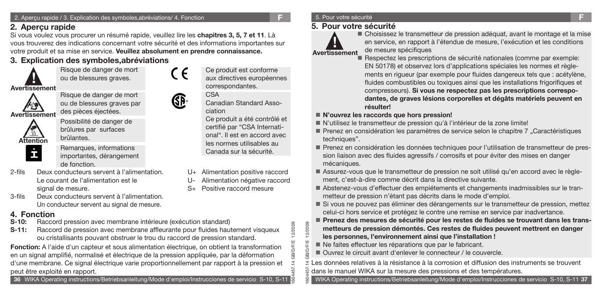# **2. Aperçu rapide**

Si vous voulez vous procurer un résumé rapide, veuillez lire les **chapitres 3, 5, 7 et 11**. Là vous trouverez des indications concernant votre sécurité et des informations importantes sur votre produit et sa mise en service. **Veuillez absolument en prendre connaissance.**

# **3. Explication des symboles,abréviations**

Risque de danger de mort ou de blessures graves.



**!**

Risque de danger de mort ou de blessures graves par des pièces éjectées.

**Avertissement**



Possibilité de danger de brûlures par surfaces brûlantes.



Remarques, informations importantes, dérangement de fonction.

- 2-fils Deux conducteurs servent à l'alimentation. Le courant de l'alimentation est le signal de mesure.
- 3-fils Deux conducteurs servent à l'alimentation. Un conducteur servent au signal de mesure.

# **4. Fonction**

- **S-10:** Raccord pression avec membrane intérieure (exécution standard)
- **S-11:** Raccord de pression avec membrane affleurante pour fluides hautement visqueux ou cristallisants pouvant obstruer le trou du raccord de pression standard.

**Fonction:** A l'aide d'un capteur et sous alimentation électrique, on obtient la transformation en un signal amplifié, normalisé et électrique de la pression appliquée, par la déformation d'une membrane. Ce signal électrique varie proportionnellement par rapport à la pression et peut être exploité en rapport.



# **5. Pour votre sécurité**



Choisissez le transmetteur de pression adéquat, avant le montage et la mise en service, en rapport à l'étendue de mesure, l'exécution et les conditions de mesure spécifiques

- Respectez les prescriptions de sécurité nationales (comme par exemple: EN 50178) et observez lors d'applications spéciales les normes et règlements en rigueur (par exemple pour fluides dangereux tels que : acétylène, fluides combustibles ou toxiques ainsi que les installations frigorifiques et compresseurs). **Si vous ne respectez pas les prescriptions correspodantes, de graves lésions corporelles et dégâts matériels peuvent en résulter!**
- **N'ouvrez les raccords que hors pression!**
- N'utilisez le transmetteur de pression qu'à l'intérieur de la zone limite!
- Prenez en considération les paramètres de service selon le chapitre 7 "Caractéristiques techniques".
- Prenez en considération les données techniques pour l'utilisation de transmetteur de pression liaison avec des fluides agressifs / corrosifs et pour éviter des mises en danger mécaniques.
- Assurez-vous que le transmetteur de pression ne soit utilisé qu'en accord avec le règle ment, c'est-à-dire comme décrit dans la directive suivante.
- Abstenez-vous d'effectuer des empiétements et changements inadmissibles sur le tran metteur de pression n'étant pas décrits dans le mode d'emploi.
- Si vous ne pouvez pas éliminer des dérangements sur le transmetteur de pression, mettez celui-ci hors service et protégez le contre une remise en service par inadvertance.
- **Prenez des mesures de sécurité pour les restes de fluides se trouvant dans les trans metteurs de pression démontés. Ces restes de fluides peuvent mettrent en danger les personnes, l'environnement ainsi que l'installation !**
- Ne faites effectuer les réparations que par le fabricant.
- Ouvrez le circuit avant d'enlever le connecteur / le couvercle.

1604457.14 GB/D/F/E 12/2009 Les données relatives à la résistance à la corrosion et diffusion des instruments se trouvent dans le manuel WIKA sur la mesure des pressions et des températures.

WIKA Operating instructions/Betriebsanleitung/Mode d'emploi/Instrucciones de servicio S-10, S-11 **37**



correspondantes. CSA Canadian Standard Asso-

ciation

Ce produit a été contrôlé et certifié par "CSA International". Il est en accord avec les normes utilisables au Canada sur la sécurité.

Ce produit est conforme aux directives européennes

- Alimentation positive raccord
- Alimentation négative raccord
- S+ Positive raccord mesure

1604457.14 GB/D/F/E 12/2009 12/2009 **D/F/E** 

57

**AB/D/F/E** 

12/2009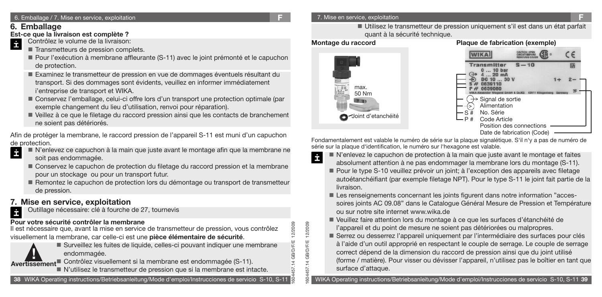# **6. Emballage**

# **Est-ce que la livraison est complète ?**<br> **Contrôlez le volume de la livraison**

- Contrôlez le volume de la livraison:
	- Transmetteurs de pression complets.
	- Pour l'exécution à membrane affleurante (S-11) avec le joint prémonté et le capuchon de protection.
	- Examinez le transmetteur de pression en vue de dommages éventuels résultant du transport. Si des dommages sont évidents, veuillez en informer immédiatement i'entreprise de transport et WIKA.
	- Conservez l'emballage, celui-ci offre lors d'un transport une protection optimale (par exemple changement du lieu d'utilisation, renvoi pour réparation).
	- Veillez à ce que le filetage du raccord pression ainsi que les contacts de branchement ne soient pas détériorés.

Afin de protéger la membrane, le raccord pression de l'appareil S-11 est muni d'un capuchon

- de protection.<br> **D** N'enk N'enlevez ce capuchon à la main que juste avant le montage afin que la membrane ne soit pas endommagée.
	- Conservez le capuchon de protection du filetage du raccord pression et la membrane pour un stockage ou pour un transport futur.
	- Remontez le capuchon de protection lors du démontage ou transport de transmetteur de pression.

# **7. Mise en service, exploitation**

Outillage nécessaire: clé à fourche de 27, tournevis

# **Pour votre sécurité contrôler la membrane**

Il est nécessaire que, avant la mise en service de transmetteur de pression, vous contrôlez visuellement la membrane, car celle-ci est une **pièce élémentaire de sécurité**.



İ

Surveillez les fuites de liquide, celles-ci pouvant indiquer une membrane endommagée. endommagée.<br> **Exercissement**<br> **Exercissement**<br> **Exercissement**<br> **Exercise visuellement si la membrane est endommagée (S-11).** 

N'utilisez le transmetteur de pression que si la membrane est intacte.

### 7. Mise en service, exploitation **F**

Utilisez le transmetteur de pression uniquement s'il est dans un état parfait quant à la sécurité technique.

1604457.14 GB/D/F/E 12/2009

1604457.14 GB/D/F/E 12/2009

ŠЯ

**GB/D/F/E** 

12/2009 12/2009

### **Montage du raccord Plaque de fabrication (exemple)**



Fondamentalement est valable le numéro de série sur la plaque signalétique. S'il n'y a pas de numéro de série sur la plaque d'identification, le numéro sur l'hexagone est valable.

- N'enlevez le capuchon de protection à la main que juste avant le montage et faites İ absolument attention à ne pas endommager la membrane lors du montage (S-11).
	- Pour le type S-10 veuillez prévoir un joint; à l'exception des appareils avec filetage autoétanchéifiant (par exemple filetage NPT). Pour le type S-11 le joint fait partie de la livraison.
	- Les renseignements concernant les joints figurent dans notre information "acces soires joints AC 09.08" dans le Catalogue Général Mesure de Pression et Température ou sur notre site internet www.wika.de
	- Veuillez faire attention lors du montage à ce que les surfaces d'étanchéité de l'appareil et du point de mesure ne soient pas détériorées ou malpropres.
	- Serrez ou desserrez l'appareil uniquement par l'intermédiaire des surfaces pour clés à l'aide d'un outil approprié en respectant le couple de serrage. Le couple de serrage correct dépend de la dimension du raccord de pression ainsi que du joint utilisé (forme / matière). Pour visser ou dévisser l'appareil, n'utilisez pas le boîtier en tant que surface d'attaque.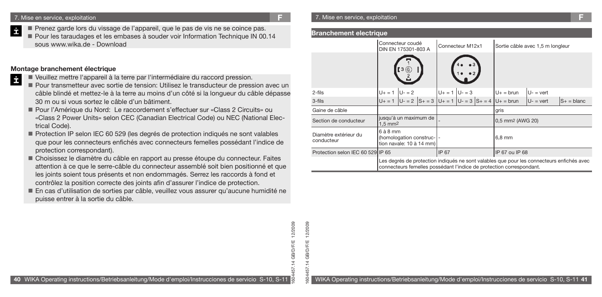- Prenez garde lors du vissage de l'appareil, que le pas de vis ne se coince pas.
- **Pour les taraudages et les embases à souder voir Information Technique IN 00.14** sous www.wika.de - Download

### **Montage branchement électrique**

- İ Veuillez mettre l'appareil à la terre par l'intermédiaire du raccord pression.
	- Pour transmetteur avec sortie de tension: Utilisez le transducteur de pression avec un câble blindé et mettez-le à la terre au moins d'un côté si la longueur du câble dépasse 30 m ou si vous sortez le câble d'un bâtiment.
	- Pour l'Amérique du Nord: Le raccordement s'effectuer sur «Class 2 Circuits» ou «Class 2 Power Units» selon CEC (Canadian Electrical Code) ou NEC (National Electrical Code).
	- Protection IP selon IEC 60 529 (les degrés de protection indiqués ne sont valables que pour les connecteurs enfichés avec connecteurs femelles possédant l'indice de protection correspondant).
	- Choisissez le diamètre du câble en rapport au presse étoupe du connecteur. Faites attention à ce que le serre-câble du connecteur assemblé soit bien positionné et que les joints soient tous présents et non endommagés. Serrez les raccords à fond et contrôlez la position correcte des joints afin d'assurer l'indice de protection.
	- En cas d'utilisation de sorties par câble, veuillez vous assurer qu'aucune humidité ne puisse entrer à la sortie du câble.

#### **Branchement electrique**

|                                     | Connecteur coudé<br>DIN EN 175301-803 A     |         |                                                                  | Connecteur M12x1     |  |                                                                      | Sortie câble avec 1,5 m longleur |                                                                                           |
|-------------------------------------|---------------------------------------------|---------|------------------------------------------------------------------|----------------------|--|----------------------------------------------------------------------|----------------------------------|-------------------------------------------------------------------------------------------|
|                                     |                                             | [3 (O)  |                                                                  |                      |  |                                                                      |                                  |                                                                                           |
| $2$ -fils                           | $U_{+} = 1$                                 | $U - 2$ |                                                                  | $ U_+ = 1   U_- = 3$ |  | $U+$ = brun                                                          | $U -$ = vert                     |                                                                                           |
| 3-fils                              |                                             |         | $U_+ = 1$ $ U_- = 2$ $ S_+ = 3$ $ U_+ = 1$ $ U_- = 3$ $ S_+ = 4$ |                      |  | $U_+$ = brun                                                         | $U -$ = vert                     | $S_+$ = blanc                                                                             |
| Gaine de câble                      |                                             |         |                                                                  |                      |  | gris                                                                 |                                  |                                                                                           |
| Section de conducteur               | jusqu'à un maximum de<br>$1.5 \text{ mm}^2$ |         |                                                                  |                      |  | 0,5 mm2 (AWG 20)                                                     |                                  |                                                                                           |
| Diamètre extérieur du<br>conducteur | $6$ à $8$ mm                                |         | (homologation construc-1-<br>tion navale: 10 à 14 mm)            |                      |  | $6.8$ mm                                                             |                                  |                                                                                           |
| Protection selon IEC 60 529 IP 65   |                                             |         |                                                                  | <b>IIP 67</b>        |  | IP 67 ou IP 68                                                       |                                  |                                                                                           |
|                                     |                                             |         |                                                                  |                      |  | connecteurs femelles possédant l'indice de protection correspondant. |                                  | Les degrés de protection indiqués ne sont valables que pour les connecteurs enfichés avec |

12/2009 1604457.14 GB/D/F/E 12/2009 **GB/D/F/E** SO<sub>4</sub>

1604457.14 GB/D/F/E 12/2009

.14 GB/D/F/E

57

12/2009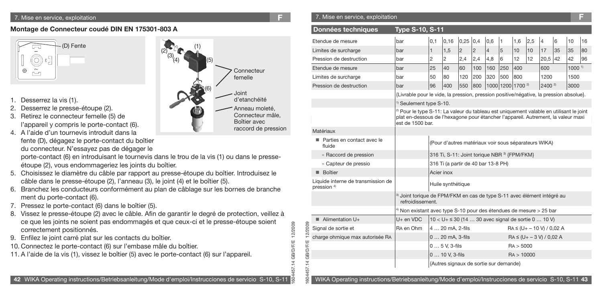#### 7. Mise en service, exploitation **F**

### **Montage de Connecteur coudé DIN EN 175301-803 A**



- 1. Desserrez la vis (1).
- 2. Desserrez le presse-étoupe (2).
- 3. Retirez le connecteur femelle (5) de l'appareil y compris le porte-contact (6).
- 4. A l'aide d'un tournevis introduit dans la fente (D), dégagez le porte-contact du boîtier du connecteur. N'essayez pas de dégager le

porte-contact (6) en introduisant le tournevis dans le trou de la vis (1) ou dans le presseétoupe (2), vous endommageriez les joints du boîtier.

- 5. Choisissez le diamètre du câble par rapport au presse-étoupe du boîtier. Introduisez le câble dans le presse-étoupe (2), l'anneau (3), le joint (4) et le boîtier (5).
- 6. Branchez les conducteurs conformément au plan de câblage sur les bornes de branche ment du porte-contact (6).
- 7. Pressez le porte-contact (6) dans le boîtier (5).
- 8. Vissez le presse-étoupe (2) avec le câble. Afin de garantir le degré de protection, veillez à ce que les joints ne soient pas endommagés et que ceux-ci et le presse-étoupe soient correctement positionnés.
- 9. Enfilez le joint carré plat sur les contacts du boîtier.
- 10. Connectez le porte-contact (6) sur l'embase mâle du boîtier.
- 11. A l'aide de la vis (1), vissez le boîtier (5) avec le porte-contact (6) sur l'appareil.



1604457.14 GB/D/F/E 12/2009

57

1604457.14 GB/D/F/E 12/2009

 $504$ 

**GB/D/F/E** 14 GB/D/F/E

12/2009 12/2009

7. Mise en service, exploitation **F**

| Données techniques                                           | <b>Type S-10, S-11</b>                                                                                 |                                                                                                                                                                                         |                                                       |                 |                |                |                   |            |     |                                |    |                   |    |
|--------------------------------------------------------------|--------------------------------------------------------------------------------------------------------|-----------------------------------------------------------------------------------------------------------------------------------------------------------------------------------------|-------------------------------------------------------|-----------------|----------------|----------------|-------------------|------------|-----|--------------------------------|----|-------------------|----|
| Etendue de mesure                                            | bar                                                                                                    | 0,1                                                                                                                                                                                     | 0,16                                                  | $0.25 \mid 0.4$ |                | 0,6            | 1                 | 1,6        | 2,5 | $\overline{4}$                 | 6  | 10                | 16 |
| Limites de surcharge                                         | bar                                                                                                    | $\mathbf{1}$                                                                                                                                                                            | 1,5                                                   | $\overline{2}$  | $\overline{c}$ | $\overline{4}$ | 5                 | 10         | 10  | 17                             | 35 | 35                | 80 |
| Pression de destruction                                      | bar                                                                                                    | 2                                                                                                                                                                                       | 2                                                     | 2,4             | 2,4            | 4,8            | 6                 | 12         | 12  | 20.5                           | 42 | 42                | 96 |
| Etendue de mesure                                            | bar                                                                                                    | 25                                                                                                                                                                                      | 40                                                    | 60              | 100            | 160            | 250               | 400        |     | 600                            |    | 1000 <sup>1</sup> |    |
| Limites de surcharge                                         | bar                                                                                                    | 50                                                                                                                                                                                      | 80                                                    | 120             | 200            | 320            | 500               | 800        |     | 1200                           |    | 1500              |    |
| Pression de destruction                                      | bar                                                                                                    | 96                                                                                                                                                                                      | 400                                                   | 550             | 800            |                | 1000 1200 1700 2) |            |     | $2400^{2}$                     |    | 3000              |    |
|                                                              |                                                                                                        | {Livrable pour le vide, la pression, pression positive/négative, la pression absolue}.                                                                                                  |                                                       |                 |                |                |                   |            |     |                                |    |                   |    |
|                                                              |                                                                                                        | <sup>1)</sup> Seulement type S-10.                                                                                                                                                      |                                                       |                 |                |                |                   |            |     |                                |    |                   |    |
|                                                              | est de 1500 bar.                                                                                       | <sup>2)</sup> Pour le type S-11: La valeur du tableau est uniquement valable en utilisant le joint<br>plat en-dessous de l'hexagone pour étancher l'appareil. Autrement, la valeur maxi |                                                       |                 |                |                |                   |            |     |                                |    |                   |    |
| Matériaux                                                    |                                                                                                        |                                                                                                                                                                                         |                                                       |                 |                |                |                   |            |     |                                |    |                   |    |
| ■ Parties en contact avec le<br>fluide                       |                                                                                                        |                                                                                                                                                                                         | (Pour d'autres matériaux voir sous séparateurs WIKA)  |                 |                |                |                   |            |     |                                |    |                   |    |
| » Raccord de pression                                        |                                                                                                        |                                                                                                                                                                                         | 316 Ti, S-11: Joint torique NBR 3) {FPM/FKM}          |                 |                |                |                   |            |     |                                |    |                   |    |
| » Capteur de pressio                                         |                                                                                                        |                                                                                                                                                                                         | 316 Ti (a partir de 40 bar 13-8 PH)                   |                 |                |                |                   |            |     |                                |    |                   |    |
| Boîtier                                                      |                                                                                                        | Acier inox                                                                                                                                                                              |                                                       |                 |                |                |                   |            |     |                                |    |                   |    |
| Liquide interne de transmission de<br>pression <sup>4)</sup> |                                                                                                        |                                                                                                                                                                                         | Huile synthétique                                     |                 |                |                |                   |            |     |                                |    |                   |    |
|                                                              | <sup>3)</sup> Joint torique de FPM/FKM en cas de type S-11 avec élément intégré au<br>refroidissement. |                                                                                                                                                                                         |                                                       |                 |                |                |                   |            |     |                                |    |                   |    |
|                                                              | <sup>4)</sup> Non existant avec type S-10 pour des étendues de mesure > 25 bar                         |                                                                                                                                                                                         |                                                       |                 |                |                |                   |            |     |                                |    |                   |    |
| Alimentation U+                                              | U+ en VDC                                                                                              |                                                                                                                                                                                         | $10 < U + 530$ (14  30 avec signal de sortie 0  10 V) |                 |                |                |                   |            |     |                                |    |                   |    |
| Signal de sortie et                                          | RA en Ohm                                                                                              |                                                                                                                                                                                         | 4  20 mA, 2-fils                                      |                 |                |                |                   |            |     | $RA \leq (U + -10 V) / 0.02 A$ |    |                   |    |
| charge ohmique max autorisée RA                              |                                                                                                        |                                                                                                                                                                                         | 0  20 mA, 3-fils                                      |                 |                |                |                   |            |     | $RA \leq (U + -3 V) / 0.02 A$  |    |                   |    |
|                                                              |                                                                                                        |                                                                                                                                                                                         | $05$ V, 3-fils                                        |                 |                |                |                   | RA > 5000  |     |                                |    |                   |    |
|                                                              |                                                                                                        |                                                                                                                                                                                         | 0  10 V, 3-fils                                       |                 |                |                |                   | RA > 10000 |     |                                |    |                   |    |
|                                                              |                                                                                                        |                                                                                                                                                                                         | {Autres signaux de sortie sur demande}                |                 |                |                |                   |            |     |                                |    |                   |    |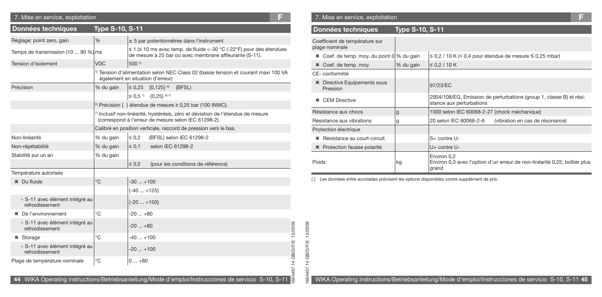| 7. Mise en service, exploitation                  |                                  |               | Е                                                                                                                                           |
|---------------------------------------------------|----------------------------------|---------------|---------------------------------------------------------------------------------------------------------------------------------------------|
| Données techniques                                | <b>Type S-10, S-11</b>           |               |                                                                                                                                             |
| Réglage: point zero, gain                         | %                                |               | $±$ 5 par potentiomètres dans l'instrument                                                                                                  |
| Temps de transmission (10  90 %) ms               |                                  |               | $\leq$ 1 ( $\leq$ 10 ms avec temp. de fluide <-30 °C (-22°F) pour des étendues<br>de mesure à 25 bar ou avec membrane affleurante (S-11).   |
| Tension d'isolement                               | <b>VDC</b>                       | 500 5)        |                                                                                                                                             |
|                                                   | également en situation d'erreur) |               | <sup>5)</sup> Tension d'alimentation selon NEC Class 02 (basse tension et courant maxi 100 VA                                               |
| Précision                                         | % du gain                        |               | $\leq$ 0,25 $\{0,125\}$ <sup>6)</sup><br>(BFSL)                                                                                             |
|                                                   |                                  |               | $\leq 0.5^{7}$ {0.25} <sup>6) 7</sup>                                                                                                       |
|                                                   |                                  |               | <sup>6)</sup> Précision { } étendue de mesure $\geq$ 0,25 bar (100 INWC).                                                                   |
|                                                   |                                  |               | $\eta$ Inclusif non-linéarité, hystérésis, zéro et déviation de l'étendue de mesure<br>(correspond à l'erreur de mesure selon IEC 61298-2). |
|                                                   |                                  |               | Calibré en position verticale, raccord de pression vers le bas.                                                                             |
| Non-linéarité                                     | % du gain                        | $\leq 0.2$    | (BFSL) selon IEC 61298-2                                                                                                                    |
| Non-répétabilité                                  | % du gain                        | $\leq 0.1$    | selon IEC 61298-2                                                                                                                           |
| Stabilité sur un an                               | % du gain                        |               |                                                                                                                                             |
|                                                   |                                  | $\leq 0.2$    | (pour les conditions de référence)                                                                                                          |
| Température autorisée                             |                                  |               |                                                                                                                                             |
| Du fluide                                         | °C                               | $-30+100$     |                                                                                                                                             |
|                                                   |                                  | $\{-40+125\}$ |                                                                                                                                             |
| » S-11 avec élément intégré au<br>refroidissement |                                  | $\{-20+150\}$ |                                                                                                                                             |
| De l'environnement                                | °C                               | $-20+80$      |                                                                                                                                             |
| » S-11 avec élément intégré au<br>refroidissement |                                  | $-20+80$      |                                                                                                                                             |
| ■ Storage                                         | °C                               | $-40+100$     |                                                                                                                                             |
| » S-11 avec élément intégré au<br>refroidissement |                                  | $-20+100$     |                                                                                                                                             |
| Plage de température nominale                     | °C                               | $0+80$        |                                                                                                                                             |

### 7. Mise en service, exploitation **F** 7. Mise en service, exploitation **F**

1604457.14 GB/D/F/E 12/2009

604457.14 GB/D/F/E 12/2009

| Données techniques                               | <b>Type S-10, S-11</b> |                                                                                                   |  |  |  |  |  |
|--------------------------------------------------|------------------------|---------------------------------------------------------------------------------------------------|--|--|--|--|--|
| Coefficient de température sur<br>plage nominale |                        |                                                                                                   |  |  |  |  |  |
| Coef. de temp. moy. du point $0\%$ du gain       |                        | $\leq$ 0,2 / 10 K (< 0,4 pour étendue de mesure $\leq$ 0,25 mbar)                                 |  |  |  |  |  |
| Coef. de temp. moy.                              | % du gain              | $\leq$ 0.2 / 10 K                                                                                 |  |  |  |  |  |
| CE-conformitié                                   |                        |                                                                                                   |  |  |  |  |  |
| Directive Equipements sous<br>٠<br>Pression      |                        | 97/23/EC                                                                                          |  |  |  |  |  |
| <b>CEM Directive</b>                             |                        | 2004/108/EG, Emission de perturbations (group 1, classe B) et rési-<br>stance aux perturbations   |  |  |  |  |  |
| Résistance aux chocs                             | g                      | 1000 selon IEC 60068-2-27 (chock méchanique)                                                      |  |  |  |  |  |
| Résistance aux vibrations                        | g                      | 20 selon IEC 60068-2-6<br>(vibration en cas de résonance)                                         |  |  |  |  |  |
| Protection électrique                            |                        |                                                                                                   |  |  |  |  |  |
| Résistance au court-circuit                      |                        | $S+$ contre $U-$                                                                                  |  |  |  |  |  |
| Protection fausse polarité                       |                        | U+ contre U-                                                                                      |  |  |  |  |  |
| Poids                                            | kg                     | Environ 0,2<br>Environ 0,3 avec l'option d'un erreur de non-linéarité 0,25; boîtier plus<br>grand |  |  |  |  |  |

{ } Les données entre accolades précisent les options disponibles contre supplément de prix.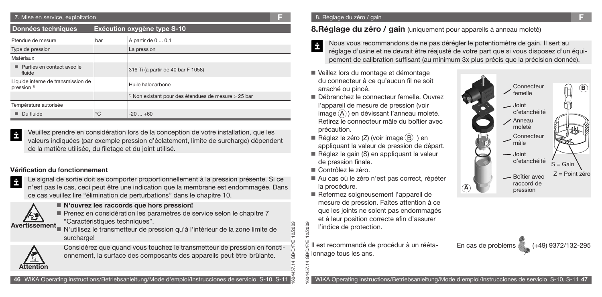| 7. Mise en service, exploitation                             |             |                                                                   | Е |
|--------------------------------------------------------------|-------------|-------------------------------------------------------------------|---|
| Données techniques                                           |             | Exécution oxygène type S-10                                       |   |
| Etendue de mesure                                            | bar         | A partir de 0  0,1                                                |   |
| Type de pression                                             |             | La pression                                                       |   |
| Matériaux                                                    |             |                                                                   |   |
| Parties en contact avec le<br>fluide                         |             | 316 Ti (a partir de 40 bar F 1058)                                |   |
| Liquide interne de transmission de<br>pression <sup>1)</sup> |             | Huile halocarbone                                                 |   |
|                                                              |             | <sup>1)</sup> Non existant pour des étendues de mesure $>$ 25 bar |   |
| Température autorisée                                        |             |                                                                   |   |
| Du fluide                                                    | $^{\circ}C$ | $-20+60$                                                          |   |

Veuillez prendre en considération lors de la conception de votre installation, que les İ valeurs indiquées (par exemple pression d'éclatement, limite de surcharge) dépendent de la matière utilisée, du filetage et du joint utilisé.

### **Vérification du fonctionnement**



Le signal de sortie doit se comporter proportionnellement à la pression présente. Si ce n'est pas le cas, ceci peut être une indication que la membrane est endommagée. Dans ce cas veuillez lire "élimination de perturbations" dans le chapitre 10.



### **N'ouvrez les raccords que hors pression!**

Prenez en considération les paramètres de service selon le chapitre 7 "Caractéristiques techniques".

**Avertissement**<br>N'utilisez le transmetteur de pression qu'à l'intérieur de la zone limite de surcharge!



Considérez que quand vous touchez le transmetteur de pression en fonctionnement, la surface des composants des appareils peut être brûlante.

# **8.Réglage du zéro / gain** (uniquement pour appareils à anneau moleté)

- Nous vous recommandons de ne pas dérégler le potentiomètre de gain. Il sert au réglage d'usine et ne devrait être réajusté de votre part que si vous disposez d'un équipement de calibration suffisant (au minimum 3x plus précis que la précision donnée).
- Veillez lors du montage et démontage du connecteur à ce qu'aucun fil ne soit arraché ou pincé.
- Débranchez le connecteur femelle. Ouvrez l'appareil de mesure de pression (voir image  $(\widehat{A})$ ) en dévissant l'anneau moleté. Retirez le connecteur mâle du boîtier avec précaution.
- Réglez le zéro  $(Z)$  (voir image  $(B)$ ) en appliquant la valeur de pression de départ.
- Réglez le gain (S) en appliquant la valeur de pression finale.
- Contrôlez le zéro.

2/2009 ᠗

- Au cas où le zéro n'est pas correct, répéter la procédure.
- Refermez soigneusement l'appareil de mesure de pression. Faites attention à ce que les joints ne soient pas endommagés et à leur position correcte afin d'assurer l'indice de protection.



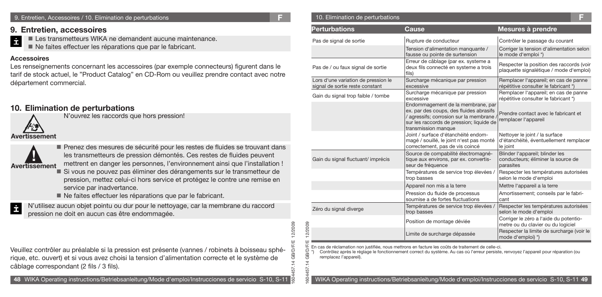#### 9. Entretien, Accessoires / 10. Elimination de perturbations **F**

### **9. Entretien, accessoires**

İ Les transmetteurs WIKA ne demandent aucune maintenance.

Ne faites effectuer les réparations que par le fabricant.

### **Accessoires**

Les renseignements concernant les accessoires (par exemple connecteurs) figurent dans le tarif de stock actuel, le "Product Catalog" en CD-Rom ou veuillez prendre contact avec notre département commercial.

### **10. Elimination de perturbations** N'ouvrez les raccords que hors pression!

**Avertissement**

**! Avertissement**

Prenez des mesures de sécurité pour les restes de fluides se trouvant dans les transmetteurs de pression démontés. Ces restes de fluides peuvent mettrent en danger les personnes, l'environnement ainsi que l'installation !

Si vous ne pouvez pas éliminer des dérangements sur le transmetteur de pression, mettez celui-ci hors service et protégez le contre une remise en service par inadvertance.

Ne faites effectuer les réparations que par le fabricant.

N'utilisez aucun objet pointu ou dur pour le nettoyage, car la membrane du raccord İ pression ne doit en aucun cas être endommagée.

Veuillez contrôler au préalable si la pression est présente (vannes / robinets à boisseau sphérique, etc. ouvert) et si vous avez choisi la tension d'alimentation correcte et le système de câblage correspondant (2 fils / 3 fils).

| 10. Elimination de perturbations |  |
|----------------------------------|--|
|                                  |  |

| <b>Perturbations</b>                                                   | Cause                                                                                                                                                                                                                                       | Mesures à prendre                                                                    |
|------------------------------------------------------------------------|---------------------------------------------------------------------------------------------------------------------------------------------------------------------------------------------------------------------------------------------|--------------------------------------------------------------------------------------|
| Pas de signal de sortie                                                | Rupture de conducteur                                                                                                                                                                                                                       | Contrôler le passage du courant                                                      |
|                                                                        | Tension d'alimentation manquante /<br>fausse ou pointe de surtension                                                                                                                                                                        | Corriger la tension d'alimentation selon<br>le mode d'emploi *)                      |
| Pas de / ou faux signal de sortie                                      | Erreur de câblage (par ex. systeme a<br>deux fils connecté en systeme a trois<br>fils)                                                                                                                                                      | Respecter la position des raccords (voir<br>plaquette signalétique / mode d'emploi)  |
| Lors d'une variation de pression le<br>signal de sortie reste constant | Surcharge mécanique par pression<br>excessive                                                                                                                                                                                               | Remplacer l'appareil; en cas de panne<br>répétitive consulter le fabricant *)        |
| Gain du signal trop faible / tombe                                     | Surcharge mécanique par pression<br>excessive                                                                                                                                                                                               | Remplacer l'appareil; en cas de panne<br>répétitive consulter le fabricant *)        |
|                                                                        | Endommagement de la membrane, par<br>ex. par des coups, des fluides abrasifs<br>/ agressifs; corrosion sur la membrane,<br>sur les raccords de pression; liquide de<br>transmission manque                                                  | Prendre contact avec le fabricant et<br>remplacer l'appareil                         |
|                                                                        | Joint / surface d'étanchéité endom-<br>magé / souillé, le joint n'est pas monté<br>correctement, pas de vis coincé                                                                                                                          | Nettoyer le joint / la surface<br>d'étanchéité, éventuellement remplacer<br>le joint |
| Gain du signal fluctuant/imprécis                                      | Source de compabilité électromagné-<br>tique aux environs, par ex. convertis-<br>seur de fréquence                                                                                                                                          | Blinder l'appareil; blinder les<br>conducteurs; éliminer la source de<br>parasites   |
|                                                                        | Températures de service trop élevées /<br>trop basses                                                                                                                                                                                       | Respecter les températures autorisées<br>selon le mode d'emploi                      |
|                                                                        | Appareil non mis a la terre                                                                                                                                                                                                                 | Mettre l'appareil a la terre                                                         |
|                                                                        | Pression du fluide de processus<br>soumise a de fortes fluctuations                                                                                                                                                                         | Amortissement; conseils par le fabri-<br>cant                                        |
| Zéro du signal diverge                                                 | Températures de service trop élevées /<br>trop basses                                                                                                                                                                                       | Respecter les températures autorisées<br>selon le mode d'emploi                      |
|                                                                        | Position de montage déviée                                                                                                                                                                                                                  | Corriger le zéro a l'aide du potentio-<br>metre ou du clavier ou du logiciel         |
|                                                                        | Limite de surcharge dépassée                                                                                                                                                                                                                | Respecter la limite de surcharge (voir le<br>mode d'emploi) *)                       |
| *)<br>remplacez l'appareil).                                           | En cas de réclamation non justifiée, nous mettrons en facture les coûts de traitement de celle-ci.<br>Contrôlez après le réglage le fonctionnement correct du système. Au cas où l'erreur persiste, renvoyez l'appareil pour réparation (ou |                                                                                      |
|                                                                        | WIKA Operating instructions/Betriebsanleitung/Mode d'emploi/Instrucciones de servicio S-10, S-11 49                                                                                                                                         |                                                                                      |

1604457.14 GB/D/F/E 12/2009

G Я

57  $\overline{5}$  $\tilde{z}$ 

/D/F

2/2009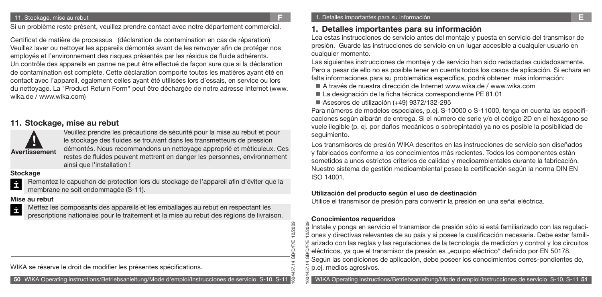#### 11. Stockage, mise au rebut

Si un problème reste présent, veuillez prendre contact avec notre département commercial.

Certificat de matière de processus (déclaration de contamination en cas de réparation) Veuillez laver ou nettoyer les appareils démontés avant de les renvoyer afin de protéger nos employés et l'environnement des risques présentés par les résidus de fluide adhérents. Un contrôle des appareils en panne ne peut être effectué de façon sure que si la déclaration de contamination est complète. Cette déclaration comporte toutes les matières ayant été en contact avec l'appareil, également celles ayant été utilisées lors d'essais, en service ou lors du nettoyage. La "Product Return Form" peut être déchargée de notre adresse Internet (www. wika.de / www.wika.com)

### **11. Stockage, mise au rebut**



Veuillez prendre les précautions de sécurité pour la mise au rebut et pour le stockage des fluides se trouvant dans les transmetteurs de pression démontés. Nous recommandons un nettoyage approprié et méticuleux. Ces restes de fluides peuvent mettrent en danger les personnes, environnement ainsi que l'installation !

### **Stockage**

Remontez le capuchon de protection lors du stockage de l'appareil afin d'éviter que la İ membrane ne soit endommagée (S-11).

### **Mise au rebut**

Mettez les composants des appareils et les emballages au rebut en respectant les İ prescriptions nationales pour le traitement et la mise au rebut des régions de livraison.

WIKA se réserve le droit de modifier les présentes spécifications.

**50** WIKA Operating instructions/Betriebsanleitung/Mode d'emploi/Instrucciones de servicio S-10, S-11

## **1. Detalles importantes para su información**

Lea estas instrucciones de servicio antes del montaje y puesta en servicio del transmisor de presión. Guarde las instrucciones de servicio en un lugar accesible a cualquier usuario en cualquier momento.

Las siguientes instrucciones de montaje y de servicio han sido redactadas cuidadosamente. Pero a pesar de ello no es posible tener en cuenta todos los casos de aplicación. Si echara en falta informaciones para su problemática específica, podrá obtener más información:

- A través de nuestra dirección de Internet www.wika.de / www.wika.com
- La designación de la ficha técnica correspondiente PE 81.01
- Asesores de utilización (+49) 9372/132-295

Para números de modelos especiales, p.ej. S-10000 o S-11000, tenga en cuenta las especificaciones según albarán de entrega. Si el número de serie y/o el código 2D en el hexágono se vuele ilegible (p. ej. por daños mecánicos o sobrepintado) ya no es posible la posibilidad de seguimiento.

Los transmisores de presión WIKA descritos en las instrucciones de servicio son diseñados y fabricados conforme a los conocimientos más recientes. Todos los componentes están sometidos a unos estrictos criterios de calidad y medioambientales durante la fabricación. Nuestro sistema de gestión medioambiental posee la certificación según la norma DIN EN ISO 14001.

### **Utilización del producto según el uso de destinación**

Utilice el transmisor de presión para convertir la presión en una señal eléctrica.

### **Conocimientos requeridos**

1604457.14 GB/D/F/E 12/2009

**DIF/E** 

12/2009

1604457.14 GB/D/F/E 12/2009 Instale y ponga en servicio el transmisor de presión sólo si está familiarizado con las regulaciones y directivas relevantes de su país y si posee la cualificación necesaria. Debe estar familiarizado con las reglas y las regulaciones de la tecnologia de medicíon y control y los circuitos eléctricos, ya que el transmisor de presión es "equipo eléctrico" definido por EN 50178. Según las condiciones de aplicación, debe poseer los conocimientos corres-pondientes de, p.ej. medios agresivos.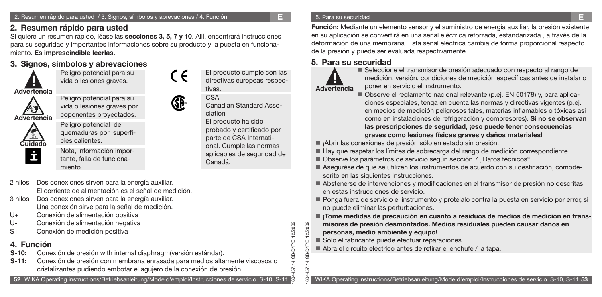# **2. Resumen rápido para usted**

Si quiere un resumen rápido, léase las **secciones 3, 5, 7 y 10**. Allí, encontrará instrucciones para su seguridad y importantes informaciones sobre su producto y la puesta en funcionamiento. **Es imprescindible leerlas.**

# **3. Signos, símbolos y abrevaciones**

Peligro potencial para su vida o lesiones graves.

**! Advertencia**



**Cuidado**

Peligro potencial para su vida o lesiones graves por coponentes proyectados.

Peligro potencial de quemaduras por superficies calientes.

Nota, información importante, falla de funcionamiento.

GP.

CE

Canadian Standard Association El producto ha sido probado y certificado por parte de CSA International. Cumple las normas aplicables de seguridad de Canadá.

El producto cumple con las directivas europeas respec-

tivas. CSA

1604457.14 GB/D/F/E 12/2009

**IDIFIE** 

1604457.14 GB/D/F/E 12/2009

 $504$ 

2/2009 12/2009

- 2 hilos Dos conexiones sirven para la energía auxiliar. El corriente de alimentación es el señal de medición.
- 3 hilos Dos conexiones sirven para la energía auxiliar. Una conexión sirve para la señal de medición.
- U+ Conexión de alimentación positiva
- U- Conexión de alimentación negativa
- S+ Conexión de medición positiva

# **4. Función**

- **S-10:** Conexión de presión with internal diaphragm(versión estándar).
- **S-11:** Conexión de presión con membrana enrasada para medios altamente viscosos o cristalizantes pudiendo embotar el agujero de la conexión de presión.

### 5. Para su securidad

**Función:** Mediante un elemento sensor y el suministro de energía auxiliar, la presión existente en su aplicación se convertirá en una señal eléctrica reforzada, estandarizada , a través de la deformación de una membrana. Esta señal eléctrica cambia de forma proporcional respecto de la presión y puede ser evaluada respectivamente.

# **5. Para su securidad**



Seleccione el transmisor de presión adecuado con respecto al rango de medición, versión, condiciones de medición específicas antes de instalar o poner en servicio el instrumento.

- Observe el reglamento nacional relevante (p.ej. EN 50178) y, para aplicaciones especiales, tenga en cuenta las normas y directivas vigentes (p.ej. en medios de medición peligrosos tales, materias inflamables o tóxicas así como en instalaciones de refrigeración y compresores). **Si no se observan las prescripciones de seguridad, ¡eso puede tener consecuencias graves como lesiones físicas graves y daños materiales!**
- ¡Abrir las conexiones de presión sólo en estado sin presión!
- Hay que respetar los límites de sobrecarga del rango de medición correspondiente.
- Observe los parámetros de servicio según sección 7 "Datos técnicos".
- Asegurése de que se utilizen los instrumentos de acuerdo con su destinación, comode scrito en las siguientes instrucciones.
- Abstenerse de intervenciones y modificaciones en el transmisor de presión no descritas en estas instrucciones de servicio.
- Ponga fuera de servicio el instrumento y protejalo contra la puesta en servicio por error, si no puede eliminar las perturbaciones.
- **¡Tome medidas de precaución en cuanto a residuos de medios de medición en transmisores de presión desmontados. Medios residuales pueden causar daños en personas, medio ambiente y equipo!**
- Sólo el fabricante puede efectuar reparaciones.
- Abra el circuito eléctrico antes de retirar el enchufe / la tapa.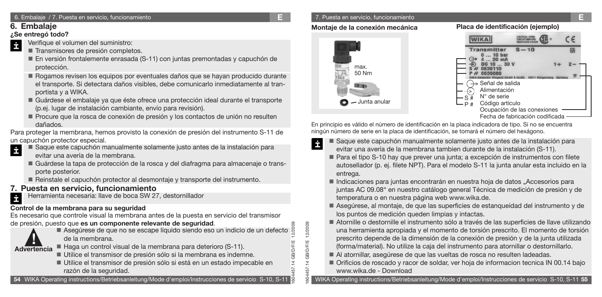### 6. Embalaje / 7. Puesta en servicio, funcionamiento **E**

# **6. Embalaje**

### **¿Se entregó todo?**

- Verifique el volumen del suministro: İ
	- Transmisores de presión completos.
	- En versión frontalemente enrasada (S-11) con juntas premontadas y capuchón de protección.
	- Rogamos revisen los equipos por eventuales daños que se hayan producido durante el transporte. Si detectara daños visibles, debe comunicarlo inmediatamente al tranportista y a WIKA.
	- Guárdese el embalaje ya que éste ofrece una protección ideal durante el transporte (p.ej. lugar de instalación cambiante, envío para revisión).
	- Procure que la rosca de conexión de presión y los contactos de unión no resulten dañados.

Para proteger la membrana, hemos provisto la conexión de presión del instrumento S-11 de un capuchón protector especial.

- Saque este capuchón manualmente solamente justo antes de la instalación para evitar una avería de la membrana.
	- Guárdese la tapa de protección de la rosca y del diafragma para almacenaje o trans porte posterior.
	- Reinstale el capuchón protector al desmontaje y transporte del instrumento.

# **7. Puesta en servicio, funcionamiento**

Herramienta necesaria: llave de boca SW 27, destornillador İ

# **Control de la membrana para su seguridad**

Es necesario que controle visual la membrana antes de la puesta en servicio del transmisor

# de presión, puesto que **es un componente relevante de seguridad**.



İ

- Asegúrese de que no se escape líquido siendo eso un indicio de un defecto de la membrana.
- Haga un control visual de la membrana para deterioro (S-11).
	- Utilice el transmisor de presión sólo si la membrana es indemne.
	- Utilice el transmisor de presión sólo si está en un estado impecable en razón de la seguridad.

**54** WIKA Operating instructions/Betriebsanleitung/Mode d'emploi/Instrucciones de servicio S-10, S-11

### 7. Puesta en servicio, funcionamiento **E**

## **Montaje de la conexión mecánica Placa de identificación (ejemplo)**

1604457.14 GB/D/F/E 12/2009

1604457.14 GB/D/F/E 12/2009

14 GB/D/F/E

ŠЯ

12/2009

İ



En principio es válido el número de identificación en la placa indicadora de tipo. Si no se encuentra ningún número de serie en la placa de identificación, se tomará el número del hexágono.

- Saque este capuchón manualmente solamente justo antes de la instalación para evitar una avería de la membrana tambien durante de la instalación (S-11).
- Para el tipo S-10 hay que prever una junta; a excepción de instrumentos con filete autosellador (p. ej. filete NPT). Para el modelo S-11 la junta anular esta incluido en la entrega.
- Indicaciones para juntas encontrarán en nuestra hoja de datos "Accesorios para juntas AC 09.08" en nuestro catálogo general Técnica de medición de presión y de temperatura o en nuestra página web www.wika.de.
- Asegúrese, al montaje, de que las superficies de estanqueidad del instrumento y de los puntos de medición queden limpias y intactas.
- Atornille o destornille el instrumento sólo a través de las superficies de llave utilizando una herramienta apropiada y el momento de torsión prescrito. El momento de torsión prescrito depende de la dimensión de la conexión de presión y de la junta utilizada (forma/material). No utilize la caja del instrumento para atornillar o destornillarlo.
- Al atornillar, asegúrese de que las vueltas de rosca no resulten ladeadas.
- Orificios de roscado y racor de soldar, ver hoja de informacion tecnica IN 00.14 bajo www.wika.de - Download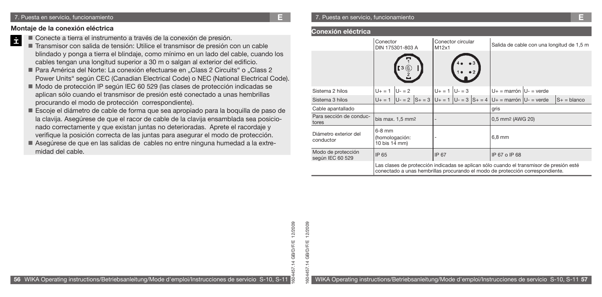### **Montaje de la conexión eléctrica**

- İ Conecte a tierra el instrumento a través de la conexión de presión.
	- Transmisor con salida de tensión: Utilice el transmisor de presión con un cable blindado y ponga a tierra el blindaje, como mínimo en un lado del cable, cuando los cables tengan una longitud superior a 30 m o salgan al exterior del edificio.
	- Para América del Norte: La conexión efectuarse en "Class 2 Circuits" o "Class 2 Power Units" según CEC (Canadian Electrical Code) o NEC (National Electrical Code).
	- Modo de protección IP según IEC 60 529 (las clases de protección indicadas se aplican sólo cuando el transmisor de presión esté conectado a unas hembrillas procurando el modo de protección correspondiente).
	- Escoje el diámetro de cable de forma que sea apropiado para la boquilla de paso de la clavija. Asegúrese de que el racor de cable de la clavija ensamblada sea posicionado correctamente y que existan juntas no deterioradas. Aprete el racordaje y verifique la posición correcta de las juntas para asegurar el modo de protección.
	- Asegúrese de que en las salidas de cables no entre ninguna humedad a la extre midad del cable.

#### **Conexión eléctrica**

1604457.14 GB/D/F/E 12/2009

5d

12/2009 12/2009

 $14$  GB/D/F/E **GB/D/F/E** 

57

|                                        | Conector<br>DIN 175301-803 A                |         | Conector circular<br>M12x1 |  |                                                                                                                                                                          | Salida de cable con una longitud de 1,5 m |
|----------------------------------------|---------------------------------------------|---------|----------------------------|--|--------------------------------------------------------------------------------------------------------------------------------------------------------------------------|-------------------------------------------|
|                                        |                                             | [3 (©)  |                            |  |                                                                                                                                                                          |                                           |
| Sistema 2 hilos                        | $U + = 1$                                   | $U - 2$ | $U_+ = 1$ $ U_- = 3$       |  | $U_+$ = marrón $U_-$ = verde                                                                                                                                             |                                           |
| Sistema 3 hilos                        |                                             |         |                            |  | $U_+ = 1$ $U_- = 2$ $S_+ = 3$ $U_+ = 1$ $U_- = 3$ $S_+ = 4$ $U_+ =$ marrón $U_- =$ verde                                                                                 | $S_+$ = blanco                            |
| Cable apantallado                      |                                             |         |                            |  | gris                                                                                                                                                                     |                                           |
| Para sección de conduc-<br>tores       | bis max. $1,5$ mm <sup>2</sup>              |         |                            |  | 0,5 mm <sup>2</sup> (AWG 20)                                                                                                                                             |                                           |
| Diámetro exterior del<br>conductor     | $6-8$ mm<br>(homologación:<br>10 bis 14 mm) |         |                            |  | 6,8 mm                                                                                                                                                                   |                                           |
| Modo de protección<br>según IEC 60 529 | IP 65                                       |         | IP 67                      |  | IP 67 o IP 68                                                                                                                                                            |                                           |
|                                        |                                             |         |                            |  | Las clases de protección indicadas se aplican sólo cuando el transmisor de presión esté<br>conectado a unas hembrillas procurando el modo de protección correspondiente. |                                           |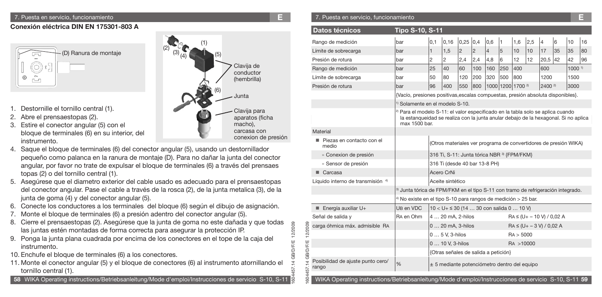### **Conexión eléctrica DIN EN 175301-803 A**



- 1. Destornille el tornillo central (1).
- 2. Abre el prensaestopas (2).
- 3. Estire el conector angular (5) con el bloque de terminales (6) en su interior, del instrumento.
- 4. Saque el bloque de terminales (6) del conector angular (5), usando un destornillador pequeño como palanca en la ranura de montaje (D). Para no dañar la junta del conector angular, por favor no trate de expulsar el bloque de terminales (6) a través del prensaes topas (2) o del tornillo central (1).
- 5. Asegúrese que el diametro exterior del cable usado es adecuado para el prensaestopas del conector angular. Pase el cable a través de la rosca (2), de la junta metalica (3), de la junta de goma (4) y del conector angular (5).
- 6. Conecte los conductores a los terminales del bloque (6) según el dibujo de asignación.
- 7. Monte el bloque de terminales (6) a presión adentro del conector angular (5).
- 8. Cierre el prensaestopas (2). Asegúrese que la junta de goma no este dañada y que todas las juntas estén montadas de forma correcta para asegurar la protección IP.
- 9. Ponga la junta plana cuadrada por encima de los conectores en el tope de la caja del instrumento.
- 10. Enchufe el bloque de terminales (6) a los conectores.
- 11. Monte el conector angular (5) y el bloque de conectores (6) al instrumento atornillando el tornillo central (1).



1604457.14 GB/D/F/E 12/2009

12/2009 12/2009

1604457.14 GB/D/F/E 12/2009

4 GB/D/F/E GB/D/F/E

 $\overline{5}$ 57

SO<sub>4</sub>

### 7. Puesta en servicio, funcionamiento **E** 7. Puesta en servicio, funcionamiento **E**

| Datos técnicos                             | <b>Tipo S-10, S-11</b>                                                                                                                                                                             |              |                                                                  |                |                |     |                   |           |     |                                |    |                   |    |
|--------------------------------------------|----------------------------------------------------------------------------------------------------------------------------------------------------------------------------------------------------|--------------|------------------------------------------------------------------|----------------|----------------|-----|-------------------|-----------|-----|--------------------------------|----|-------------------|----|
| Rango de medición                          | bar                                                                                                                                                                                                | 0,1          | 0,16                                                             | 0,25           | 0,4            | 0,6 | 11                | 1,6       | 2,5 | $\overline{4}$                 | 6  | 10                | 16 |
| Límite de sobrecarga                       | bar                                                                                                                                                                                                | $\mathbf{1}$ | 1,5                                                              | $\overline{2}$ | $\overline{c}$ | 4   | 5                 | 10        | 10  | 17                             | 35 | 35                | 80 |
| Presión de rotura                          | bar                                                                                                                                                                                                | 2            | 2                                                                | 2,4            | 2,4            | 4,8 | 6                 | 12        | 12  | 20,5                           | 42 | 42                | 96 |
| Rango de medición                          | bar                                                                                                                                                                                                | 25           | 40                                                               | 60             | 100            | 160 | 250               | 400       |     | 600                            |    | 1000 <sup>1</sup> |    |
| Límite de sobrecarga                       | bar                                                                                                                                                                                                | 50           | 80                                                               | 120            | 200            | 320 | 500               | 800       |     | 1200                           |    | 1500              |    |
| Presión de rotura                          | bar                                                                                                                                                                                                | 96           | 400                                                              | 550            | 800            |     | 1000 1200 1700 2) |           |     | $2400^{2}$                     |    | 3000              |    |
|                                            | {Vacío, presiones positivas, escalas compuestas, presión absoluta disponibles}.                                                                                                                    |              |                                                                  |                |                |     |                   |           |     |                                |    |                   |    |
|                                            | <sup>1)</sup> Solamente en el modelo S-10.                                                                                                                                                         |              |                                                                  |                |                |     |                   |           |     |                                |    |                   |    |
|                                            | <sup>2)</sup> Para el modelo S-11: el valor especificado en la tabla solo se aplica cuando<br>la estanqueidad se realiza con la junta anular debajo de la hexagonal. Si no aplica<br>max 1500 bar. |              |                                                                  |                |                |     |                   |           |     |                                |    |                   |    |
| Material                                   |                                                                                                                                                                                                    |              |                                                                  |                |                |     |                   |           |     |                                |    |                   |    |
| Piezas en contacto con el<br>medio         |                                                                                                                                                                                                    |              | (Otros materiales ver programa de convertidores de presión WIKA) |                |                |     |                   |           |     |                                |    |                   |    |
| » Conexion de presión                      |                                                                                                                                                                                                    |              | 316 Ti, S-11: Junta tórica NBR 3 {FPM/FKM}                       |                |                |     |                   |           |     |                                |    |                   |    |
| » Sensor de presión                        |                                                                                                                                                                                                    |              | 316 Ti (desde 40 bar 13-8 PH)                                    |                |                |     |                   |           |     |                                |    |                   |    |
| Carcasa                                    |                                                                                                                                                                                                    |              | Acero CrNi                                                       |                |                |     |                   |           |     |                                |    |                   |    |
| Líquido interno de transmisión 4)          |                                                                                                                                                                                                    |              | Aceite sintético                                                 |                |                |     |                   |           |     |                                |    |                   |    |
|                                            | <sup>3)</sup> Junta tórica de FPM/FKM en el tipo S-11 con tramo de refrigeración integrado.                                                                                                        |              |                                                                  |                |                |     |                   |           |     |                                |    |                   |    |
|                                            | <sup>4)</sup> No existe en el tipo S-10 para rangos de medición > 25 bar.                                                                                                                          |              |                                                                  |                |                |     |                   |           |     |                                |    |                   |    |
| $\blacksquare$ Energía auxiliar U+         | UB en VDC                                                                                                                                                                                          |              | $10 < U + \leq 30$ (14  30 con salida 0  10 V)                   |                |                |     |                   |           |     |                                |    |                   |    |
| Señal de salida y                          | RA en Ohm                                                                                                                                                                                          |              | 4  20 mA, 2-hilos                                                |                |                |     |                   |           |     | $RA \leq (U + -10 V) / 0.02 A$ |    |                   |    |
| carga óhmica máx. admisible RA             |                                                                                                                                                                                                    |              | 0  20 mA, 3-hilos                                                |                |                |     |                   |           |     | $RA \leq (U + -3 V) / 0.02 A$  |    |                   |    |
|                                            |                                                                                                                                                                                                    |              | 0  5 V, 3-hilos                                                  |                |                |     |                   | RA > 5000 |     |                                |    |                   |    |
|                                            |                                                                                                                                                                                                    |              | 0  10 V, 3-hilos                                                 |                |                |     |                   | RA >10000 |     |                                |    |                   |    |
|                                            |                                                                                                                                                                                                    |              | {Otras señales de salida a petición}                             |                |                |     |                   |           |     |                                |    |                   |    |
| Posibilidad de ajuste punto cero/<br>rango | %                                                                                                                                                                                                  |              | $\pm$ 5 mediante potenciómetro dentro del equipo                 |                |                |     |                   |           |     |                                |    |                   |    |

WIKA Operating instructions/Betriebsanleitung/Mode d'emploi/Instrucciones de servicio S-10, S-11 **59**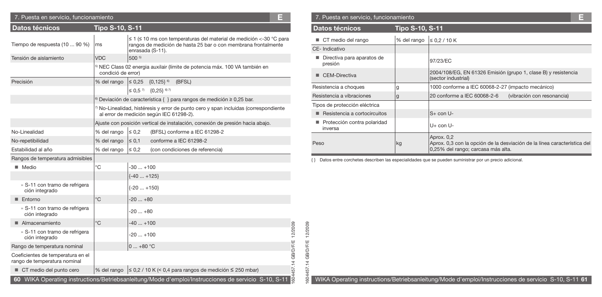| 7. Puesta en servicio, funcionamiento                             |                        |               | Е                                                                                                                                                                    |
|-------------------------------------------------------------------|------------------------|---------------|----------------------------------------------------------------------------------------------------------------------------------------------------------------------|
| Datos técnicos                                                    | <b>Tipo S-10, S-11</b> |               |                                                                                                                                                                      |
| Tiempo de respuesta (10  90 %)                                    | ms                     |               | $\leq$ 1 ( $\leq$ 10 ms con temperaturas del material de medición <-30 °C para<br>rangos de medición de hasta 25 bar o con membrana frontalmente<br>enrasada (S-11). |
| Tensión de aislamiento                                            | <b>VDC</b>             | 500 5)        |                                                                                                                                                                      |
|                                                                   | condició de error)     |               | <sup>5</sup> NEC Class 02 energia auxilair (límite de potencia máx. 100 VA también en                                                                                |
| Precisión                                                         | % del rango            | $\leq 0.25$   | ${0,125}$ <sup>6)</sup><br>(BFSL)                                                                                                                                    |
|                                                                   |                        |               | $\leq$ 0.5 $\frac{7}{10}$ {0.25} $\frac{6}{10}$                                                                                                                      |
|                                                                   |                        |               | <sup>6)</sup> Deviación de característica { } para rangos de medición $\geq$ 0,25 bar.                                                                               |
|                                                                   |                        |               | 7) No-Linealidad, histéresis y error de punto cero y span incluidas (correspondiente<br>al error de medición según IEC 61298-2).                                     |
|                                                                   |                        |               | Ajuste con posición vertical de instalación, conexión de presión hacia abajo.                                                                                        |
| No-Linealidad                                                     | % del rango            | $\leq 0.2$    | (BFSL) conforme a IEC 61298-2                                                                                                                                        |
| No-repetibilidad                                                  | % del rango            | $\leq 0.1$    | conforme a IEC 61298-2                                                                                                                                               |
| Estabilidad al año                                                | % del rango            | $\leq 0.2$    | (con condiciones de referencia)                                                                                                                                      |
| Rangos de temperatura admisibles                                  |                        |               |                                                                                                                                                                      |
| ■ Medio                                                           | $^{\circ}$ C           | $-30+100$     |                                                                                                                                                                      |
|                                                                   |                        | $\{-40+125\}$ |                                                                                                                                                                      |
| » S-11 con tramo de refrigera<br>ción integrado                   |                        | $\{-20+150\}$ |                                                                                                                                                                      |
| Entorno                                                           | $^{\circ}$ C           | $-20+80$      |                                                                                                                                                                      |
| » S-11 con tramo de refrigera<br>ción integrado                   |                        | $-20+80$      |                                                                                                                                                                      |
| Almacenamiento                                                    | $^{\circ}$ C           | $-40+100$     |                                                                                                                                                                      |
| » S-11 con tramo de refrigera<br>ción integrado                   |                        | $-20+100$     |                                                                                                                                                                      |
| Rango de temperatura nominal                                      |                        | $0+80 °C$     |                                                                                                                                                                      |
| Coeficientes de temperatura en el<br>rango de temperatura nominal |                        |               |                                                                                                                                                                      |
| CT medio del punto cero                                           | % del rango            |               | $\leq$ 0,2 / 10 K (< 0,4 para rangos de medición $\leq$ 250 mbar)                                                                                                    |

| 7. Puesta en servicio, funcionamiento  |                        |                                                                                                                              |  |
|----------------------------------------|------------------------|------------------------------------------------------------------------------------------------------------------------------|--|
| <b>Datos técnicos</b>                  | <b>Tipo S-10, S-11</b> |                                                                                                                              |  |
| CT medio del rango                     | % del rango            | $\leq 0.2 / 10 K$                                                                                                            |  |
| CE-Indicativo                          |                        |                                                                                                                              |  |
| Directiva para aparatos de<br>presión  |                        | 97/23/EC                                                                                                                     |  |
| CEM-Directiva                          |                        | 2004/108/EG, EN 61326 Emisión (grupo 1, clase B) y resistencia<br>(sector industrial)                                        |  |
| Resistencia a choques                  | g                      | 1000 conforme a IEC 60068-2-27 (impacto mecánico)                                                                            |  |
| Resistencia a vibraciones              | g                      | 20 conforme a IEC 60068-2-6<br>(vibración con resonancia)                                                                    |  |
| Tipos de protección eléctrica          |                        |                                                                                                                              |  |
| Resistencia a cortocircuitos           |                        | $S+$ con U-                                                                                                                  |  |
| Protección contra polaridad<br>inversa |                        | $U+$ con $U-$                                                                                                                |  |
| Peso                                   | kg                     | Aprox. 0,2<br>Aprox. 0,3 con la opción de la desviación de la línea característica del<br>0,25% del rango; carcasa más alta. |  |

{ } Datos entre corchetes describen las especialidades que se pueden suministrar por un precio adicional.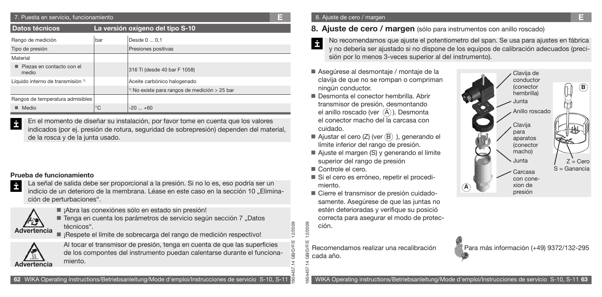| 7. Puesta en servicio, funcionamiento        |                                  |                                                          |  |  |
|----------------------------------------------|----------------------------------|----------------------------------------------------------|--|--|
| Datos técnicos                               | La versión oxígeno del tipo S-10 |                                                          |  |  |
| Rango de medición                            | bar                              | Desde 0  0,1                                             |  |  |
| Tipo de presión                              |                                  | Presiones positivas                                      |  |  |
| Material                                     |                                  |                                                          |  |  |
| Piezas en contacto con el<br>medio           |                                  | 316 Ti (desde 40 bar F 1058)                             |  |  |
| Líquido interno de transmisión <sup>1)</sup> |                                  | Aceite carbónico halogenado                              |  |  |
|                                              |                                  | <sup>1)</sup> No existe para rangos de medición > 25 bar |  |  |
| Rangos de temperatura admisibles             |                                  |                                                          |  |  |
| Medio                                        | °C                               | $-20+60$                                                 |  |  |

En el momento de diseñar su instalación, por favor tome en cuenta que los valores indicados (por ej. presión de rotura, seguridad de sobrepresión) dependen del material, de la rosca y de la junta usado.

### **Prueba de funcionamiento**



La señal de salida debe ser proporcional a la presión. Si no lo es, eso podría ser un indicio de un deterioro de la membrana. Léase en este caso en la sección 10 .. Eliminación de perturbaciones".



■ ¡Abra las conexiónes sólo en estado sin presión!



■ ¡Respete el límite de sobrecarga del rango de medición respectivo!



Al tocar el transmisor de presión, tenga en cuenta de que las superficies de los compontes del instrumento puedan calentarse durante el funcionamiento.

#### 8. Ajuste de cero / margen **E**

# **8. Ajuste de cero / margen** (sólo para instrumentos con anillo roscado)

- No recomendamos que ajuste el potentiometro del span. Se usa para ajustes en fábrica y no debería ser ajustado si no dispone de los equipos de calibración adecuados (precisión por lo menos 3-veces superior al del instrumento).
- Asegúrese al desmontaje / montaje de la clavija de que no se rompan o compriman ningún conductor.
- Desmonta el conector hembrilla. Abrir transmisor de presión, desmontando el anillo roscado (ver  $(A)$ ). Desmonta el conector macho del la carcasa con cuidado.
- Ajustar el cero  $(Z)$  (ver  $(B)$ ), generando el límite inferior del rango de presión.
- Ajuste el margen (S) y generando el límite superior del rango de presión
- Controle el cero.

1604457.14 GB/D/F/E 12/2009

 $\rightarrow$ 

৯

1604457.14 GB/D/F/E 12/2009

ăč

2/2009

- Si el cero es erróneo, repetir el procedimiento.
- Cierre el transmisor de presión cuidado samente. Asegúrese de que las juntas no estén deterioradas y verifique su posició correcta para asegurar el modo de protección.

Recomendamos realizar una recalibración cada año.



Para más información (+49) 9372/132-295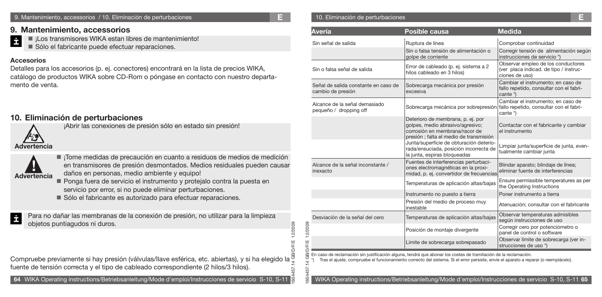#### 9. Mantenimiento, accessorios / 10. Eliminación de perturbaciones **E**

### **9. Mantenimiento, accessorios**

■ ¡Los transmisores WIKA estan libres de mantenimiento!

Sólo el fabricante puede efectuar reparaciones.

### **Accesorios**

İ

Detalles para los accesorios (p. ej. conectores) encontrará en la lista de precios WIKA, catálogo de productos WIKA sobre CD-Rom o póngase en contacto con nuestro departamento de venta.

# **10. Eliminación de perturbaciones**



¡Abrir las conexiones de presión sólo en estado sin presión!



- ¡Tome medidas de precaución en cuanto a residuos de medios de medición en transmisores de presión desmontados. Medios residuales pueden causar
- daños en personas, medio ambiente y equipo!
- Ponga fuera de servicio el instrumento y protejalo contra la puesta en servicio por error, si no puede eliminar perturbaciones.
- Sólo el fabricante es autorizado para efectuar reparaciones.

Para no dañar las membranas de la conexión de presión, no utilizar para la limpieza İ objetos puntiagudos ni duros.

## Compruebe previamente si hay presión (válvulas/llave esférica, etc. abiertas), y si ha elegido la  $\frac{3}{2}$ fuente de tensión correcta y el tipo de cableado correspondiente (2 hilos/3 hilos).

#### 10. Eliminación de perturbaciones

1604457.14 GB/D/F/E 12/2009

**DIF/E** 

12/2009 2/2009

1604457.14 GB/D/F/E 12/2009

Œ

 $\tilde{z}$ 

| <b>Avería</b>                                             | <b>Posible causa</b>                                                                                                                              | <b>Medida</b>                                                                                  |
|-----------------------------------------------------------|---------------------------------------------------------------------------------------------------------------------------------------------------|------------------------------------------------------------------------------------------------|
| Sin señal de salida                                       | Ruptura de línea                                                                                                                                  | Comprobar continuidad                                                                          |
|                                                           | Sin o falsa tensión de alimentación o<br>golpe de corriente                                                                                       | Corregir tensión de alimentación según<br>instrucciones de servicio *)                         |
| Sin o falsa señal de salida                               | Error de cableado (p. ej. sistema a 2<br>hilos cableado en 3 hilos)                                                                               | Observar empleo de los conductores<br>(ver placa indicad. de tipo / instruc-<br>ciones de uso) |
| Señal de salida constante en caso de<br>cambio de presión | Sobrecarga mecánica por presión<br>excesiva                                                                                                       | Cambiar el instrumento; en caso de<br>fallo repetido, consultar con el fabri-<br>cante *)      |
| Alcance de la señal demasiado<br>pequeño / dropping off   | Sobrecarga mecánica por sobrepresión                                                                                                              | Cambiar el instrumento; en caso de<br>fallo repetido, consultar con el fabri-<br>cante *)      |
|                                                           | Deterioro de membrana, p. ej. por<br>golpes, medio abrasivo/agresivo;<br>corrosión en membrana/racor de<br>presión; falta el medio de transmisión | Contactar con el fabricante y cambiar<br>el instrumento                                        |
|                                                           | Junta/superficie de obturación deterio-<br>rada/ensuciada, posición incorrecta de<br>la junta, espiras bloqueadas                                 | Limpiar junta/superficie de junta, even-<br>tualmente cambiar junta                            |
| Alcance de la señal inconstante /<br>inexacto             | Fuentes de interferencias perturbaci-<br>ones electromagnéticas en la proxi-<br>midad, p. ej. convertidor de frecuencias                          | Blindar aparato; blindaje de línea;<br>eliminar fuente de interferencias                       |
|                                                           | Temperaturas de aplicación altas/bajas                                                                                                            | Ensure permissible temperatures as per<br>the Operating Instructions                           |
|                                                           | Instrumento no puesto a tierra                                                                                                                    | Poner instrumento a tierra                                                                     |
|                                                           | Presión del medio de proceso muy<br>inestable                                                                                                     | Atenuación; consultar con el fabricante                                                        |
| Desviación de la señal del cero                           | Temperaturas de aplicación altas/bajas                                                                                                            | Observar temperaturas admisibles<br>según instrucciones de uso                                 |
|                                                           | Posición de montaje divergente                                                                                                                    | Corregir cero por potenciómetro o<br>panel de control o software                               |
|                                                           | Límite de sobrecarga sobrepasado                                                                                                                  | Observar límite de sobrecarga (ver in-<br>strucciones de uso *)                                |

En caso de reclamación sin justificación alguna, tendrá que abonar los costes de tramitación de la reclamación.

\*) Tras el ajuste, compruebe el funcionamiento correcto del sistema. Si el error persiste, envíe el aparato a reparar (o reemplácelo).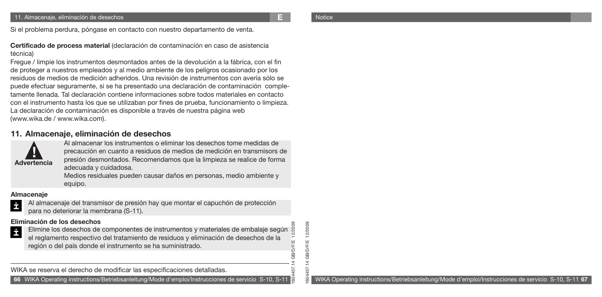1604457.14 GB/D/F/E 12/2009

SO<sub>4</sub>

**GB/D/F/E** 'D/F/ G  $\rightarrow$  $\overline{5}$ 

12/2009

Si el problema perdura, póngase en contacto con nuestro departamento de venta.

**Certificado de process material** (declaración de contaminación en caso de asistencia técnica)

Fregue / limpie los instrumentos desmontados antes de la devolución a la fábrica, con el fin de proteger a nuestros empleados y al medio ambiente de los peligros ocasionado por los residuos de medios de medición adheridos. Una revisión de instrumentos con avería sólo se puede efectuar seguramente, si se ha presentado una declaración de contaminación completamente llenada. Tal declaración contiene informaciones sobre todos materiales en contacto con el instrumento hasta los que se utilizaban por fines de prueba, funcionamiento o limpieza. La declaración de contaminación es disponible a través de nuestra página web (www.wika.de / www.wika.com).

## **11. Almacenaje, eliminación de desechos**



Al almacenar los instrumentos o eliminar los desechos tome medidas de precaución en cuanto a residuos de medios de medición en transmisors de presión desmontados. Recomendamos que la limpieza se realice de forma adecuada y cuidadosa.

Medios residuales pueden causar daños en personas, medio ambiente y equipo.

#### **Almacenaje**

- İ
- Al almacenaje del transmisor de presión hay que montar el capuchón de protección para no deteriorar la membrana (S-11).

### **Eliminación de los desechos**

Ė Elimine los desechos de componentes de instrumentos y materiales de embalaje según el reglamento respectivo del tratamiento de residuos y eliminación de desechos de la región o del país donde el instrumento se ha suministrado.

WIKA se reserva el derecho de modificar las especificaciones detalladas.

1604457.14 GB/D/F/E 12/2009 **66** WIKA Operating instructions/Betriebsanleitung/Mode d'emploi/Instrucciones de servicio S-10, S-11